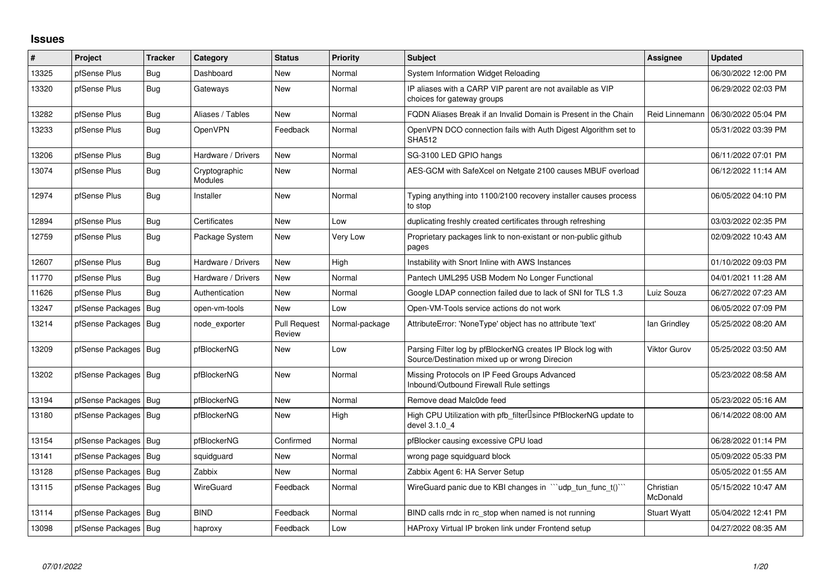## **Issues**

| ∦     | Project                | <b>Tracker</b> | Category                 | <b>Status</b>                 | <b>Priority</b> | <b>Subject</b>                                                                                               | <b>Assignee</b>       | <b>Updated</b>      |
|-------|------------------------|----------------|--------------------------|-------------------------------|-----------------|--------------------------------------------------------------------------------------------------------------|-----------------------|---------------------|
| 13325 | pfSense Plus           | Bug            | Dashboard                | New                           | Normal          | System Information Widget Reloading                                                                          |                       | 06/30/2022 12:00 PM |
| 13320 | pfSense Plus           | Bug            | Gateways                 | New                           | Normal          | IP aliases with a CARP VIP parent are not available as VIP<br>choices for gateway groups                     |                       | 06/29/2022 02:03 PM |
| 13282 | pfSense Plus           | Bug            | Aliases / Tables         | <b>New</b>                    | Normal          | FQDN Aliases Break if an Invalid Domain is Present in the Chain                                              | Reid Linnemann        | 06/30/2022 05:04 PM |
| 13233 | pfSense Plus           | <b>Bug</b>     | <b>OpenVPN</b>           | Feedback                      | Normal          | OpenVPN DCO connection fails with Auth Digest Algorithm set to<br><b>SHA512</b>                              |                       | 05/31/2022 03:39 PM |
| 13206 | pfSense Plus           | Bug            | Hardware / Drivers       | <b>New</b>                    | Normal          | SG-3100 LED GPIO hangs                                                                                       |                       | 06/11/2022 07:01 PM |
| 13074 | pfSense Plus           | <b>Bug</b>     | Cryptographic<br>Modules | New                           | Normal          | AES-GCM with SafeXcel on Netgate 2100 causes MBUF overload                                                   |                       | 06/12/2022 11:14 AM |
| 12974 | pfSense Plus           | <b>Bug</b>     | Installer                | <b>New</b>                    | Normal          | Typing anything into 1100/2100 recovery installer causes process<br>to stop                                  |                       | 06/05/2022 04:10 PM |
| 12894 | pfSense Plus           | Bug            | Certificates             | <b>New</b>                    | Low             | duplicating freshly created certificates through refreshing                                                  |                       | 03/03/2022 02:35 PM |
| 12759 | pfSense Plus           | Bug            | Package System           | New                           | Very Low        | Proprietary packages link to non-existant or non-public github<br>pages                                      |                       | 02/09/2022 10:43 AM |
| 12607 | pfSense Plus           | <b>Bug</b>     | Hardware / Drivers       | New                           | High            | Instability with Snort Inline with AWS Instances                                                             |                       | 01/10/2022 09:03 PM |
| 11770 | pfSense Plus           | Bug            | Hardware / Drivers       | New                           | Normal          | Pantech UML295 USB Modem No Longer Functional                                                                |                       | 04/01/2021 11:28 AM |
| 11626 | pfSense Plus           | Bug            | Authentication           | <b>New</b>                    | Normal          | Google LDAP connection failed due to lack of SNI for TLS 1.3                                                 | Luiz Souza            | 06/27/2022 07:23 AM |
| 13247 | pfSense Packages       | Bug            | open-vm-tools            | New                           | Low             | Open-VM-Tools service actions do not work                                                                    |                       | 06/05/2022 07:09 PM |
| 13214 | pfSense Packages       | Bug            | node exporter            | <b>Pull Request</b><br>Review | Normal-package  | AttributeError: 'NoneType' object has no attribute 'text'                                                    | lan Grindley          | 05/25/2022 08:20 AM |
| 13209 | pfSense Packages   Bug |                | pfBlockerNG              | New                           | Low             | Parsing Filter log by pfBlockerNG creates IP Block log with<br>Source/Destination mixed up or wrong Direcion | <b>Viktor Gurov</b>   | 05/25/2022 03:50 AM |
| 13202 | pfSense Packages   Bug |                | pfBlockerNG              | New                           | Normal          | Missing Protocols on IP Feed Groups Advanced<br>Inbound/Outbound Firewall Rule settings                      |                       | 05/23/2022 08:58 AM |
| 13194 | pfSense Packages       | Bug            | pfBlockerNG              | New                           | Normal          | Remove dead Malc0de feed                                                                                     |                       | 05/23/2022 05:16 AM |
| 13180 | pfSense Packages   Bug |                | pfBlockerNG              | New                           | High            | High CPU Utilization with pfb_filter <sup>[]</sup> since PfBlockerNG update to<br>devel 3.1.0 4              |                       | 06/14/2022 08:00 AM |
| 13154 | pfSense Packages       | Bug            | pfBlockerNG              | Confirmed                     | Normal          | pfBlocker causing excessive CPU load                                                                         |                       | 06/28/2022 01:14 PM |
| 13141 | pfSense Packages   Bug |                | squidguard               | New                           | Normal          | wrong page squidguard block                                                                                  |                       | 05/09/2022 05:33 PM |
| 13128 | pfSense Packages       | Bug            | Zabbix                   | New                           | Normal          | Zabbix Agent 6: HA Server Setup                                                                              |                       | 05/05/2022 01:55 AM |
| 13115 | pfSense Packages   Bug |                | WireGuard                | Feedback                      | Normal          | WireGuard panic due to KBI changes in "'udp_tun_func_t()'"                                                   | Christian<br>McDonald | 05/15/2022 10:47 AM |
| 13114 | pfSense Packages   Bug |                | <b>BIND</b>              | Feedback                      | Normal          | BIND calls rndc in rc stop when named is not running                                                         | <b>Stuart Wyatt</b>   | 05/04/2022 12:41 PM |
| 13098 | pfSense Packages   Bug |                | haproxy                  | Feedback                      | Low             | HAProxy Virtual IP broken link under Frontend setup                                                          |                       | 04/27/2022 08:35 AM |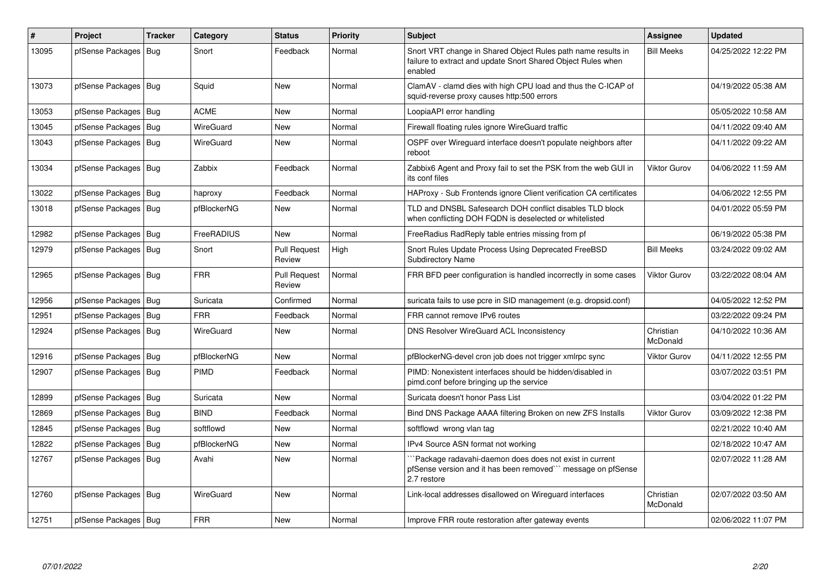| $\pmb{\#}$ | Project                | <b>Tracker</b> | Category    | <b>Status</b>                 | Priority | <b>Subject</b>                                                                                                                          | Assignee              | <b>Updated</b>      |
|------------|------------------------|----------------|-------------|-------------------------------|----------|-----------------------------------------------------------------------------------------------------------------------------------------|-----------------------|---------------------|
| 13095      | pfSense Packages       | Bug            | Snort       | Feedback                      | Normal   | Snort VRT change in Shared Object Rules path name results in<br>failure to extract and update Snort Shared Object Rules when<br>enabled | <b>Bill Meeks</b>     | 04/25/2022 12:22 PM |
| 13073      | pfSense Packages   Bug |                | Squid       | <b>New</b>                    | Normal   | ClamAV - clamd dies with high CPU load and thus the C-ICAP of<br>squid-reverse proxy causes http:500 errors                             |                       | 04/19/2022 05:38 AM |
| 13053      | pfSense Packages   Bug |                | <b>ACME</b> | <b>New</b>                    | Normal   | LoopiaAPI error handling                                                                                                                |                       | 05/05/2022 10:58 AM |
| 13045      | pfSense Packages   Bug |                | WireGuard   | <b>New</b>                    | Normal   | Firewall floating rules ignore WireGuard traffic                                                                                        |                       | 04/11/2022 09:40 AM |
| 13043      | pfSense Packages   Bug |                | WireGuard   | New                           | Normal   | OSPF over Wireguard interface doesn't populate neighbors after<br>reboot                                                                |                       | 04/11/2022 09:22 AM |
| 13034      | pfSense Packages   Bug |                | Zabbix      | Feedback                      | Normal   | Zabbix6 Agent and Proxy fail to set the PSK from the web GUI in<br>its conf files                                                       | <b>Viktor Gurov</b>   | 04/06/2022 11:59 AM |
| 13022      | pfSense Packages       | Bug            | haproxy     | Feedback                      | Normal   | HAProxy - Sub Frontends ignore Client verification CA certificates                                                                      |                       | 04/06/2022 12:55 PM |
| 13018      | pfSense Packages   Bug |                | pfBlockerNG | New                           | Normal   | TLD and DNSBL Safesearch DOH conflict disables TLD block<br>when conflicting DOH FQDN is deselected or whitelisted                      |                       | 04/01/2022 05:59 PM |
| 12982      | pfSense Packages       | Bug            | FreeRADIUS  | <b>New</b>                    | Normal   | FreeRadius RadReply table entries missing from pf                                                                                       |                       | 06/19/2022 05:38 PM |
| 12979      | pfSense Packages   Bug |                | Snort       | <b>Pull Request</b><br>Review | High     | Snort Rules Update Process Using Deprecated FreeBSD<br><b>Subdirectory Name</b>                                                         | <b>Bill Meeks</b>     | 03/24/2022 09:02 AM |
| 12965      | pfSense Packages   Bug |                | <b>FRR</b>  | <b>Pull Request</b><br>Review | Normal   | FRR BFD peer configuration is handled incorrectly in some cases                                                                         | <b>Viktor Gurov</b>   | 03/22/2022 08:04 AM |
| 12956      | pfSense Packages   Bug |                | Suricata    | Confirmed                     | Normal   | suricata fails to use pcre in SID management (e.g. dropsid.conf)                                                                        |                       | 04/05/2022 12:52 PM |
| 12951      | pfSense Packages   Bug |                | <b>FRR</b>  | Feedback                      | Normal   | FRR cannot remove IPv6 routes                                                                                                           |                       | 03/22/2022 09:24 PM |
| 12924      | pfSense Packages   Bug |                | WireGuard   | New                           | Normal   | DNS Resolver WireGuard ACL Inconsistency                                                                                                | Christian<br>McDonald | 04/10/2022 10:36 AM |
| 12916      | pfSense Packages   Bug |                | pfBlockerNG | New                           | Normal   | pfBlockerNG-devel cron job does not trigger xmlrpc sync                                                                                 | <b>Viktor Gurov</b>   | 04/11/2022 12:55 PM |
| 12907      | pfSense Packages   Bug |                | PIMD        | Feedback                      | Normal   | PIMD: Nonexistent interfaces should be hidden/disabled in<br>pimd.conf before bringing up the service                                   |                       | 03/07/2022 03:51 PM |
| 12899      | pfSense Packages   Bug |                | Suricata    | New                           | Normal   | Suricata doesn't honor Pass List                                                                                                        |                       | 03/04/2022 01:22 PM |
| 12869      | pfSense Packages       | Bug            | <b>BIND</b> | Feedback                      | Normal   | Bind DNS Package AAAA filtering Broken on new ZFS Installs                                                                              | <b>Viktor Gurov</b>   | 03/09/2022 12:38 PM |
| 12845      | pfSense Packages   Bug |                | softflowd   | <b>New</b>                    | Normal   | softflowd wrong vlan tag                                                                                                                |                       | 02/21/2022 10:40 AM |
| 12822      | pfSense Packages       | Bug            | pfBlockerNG | New                           | Normal   | IPv4 Source ASN format not working                                                                                                      |                       | 02/18/2022 10:47 AM |
| 12767      | pfSense Packages   Bug |                | Avahi       | <b>New</b>                    | Normal   | Package radavahi-daemon does does not exist in current<br>pfSense version and it has been removed``` message on pfSense<br>2.7 restore  |                       | 02/07/2022 11:28 AM |
| 12760      | pfSense Packages   Bug |                | WireGuard   | <b>New</b>                    | Normal   | Link-local addresses disallowed on Wireguard interfaces                                                                                 | Christian<br>McDonald | 02/07/2022 03:50 AM |
| 12751      | pfSense Packages   Bug |                | FRR         | <b>New</b>                    | Normal   | Improve FRR route restoration after gateway events                                                                                      |                       | 02/06/2022 11:07 PM |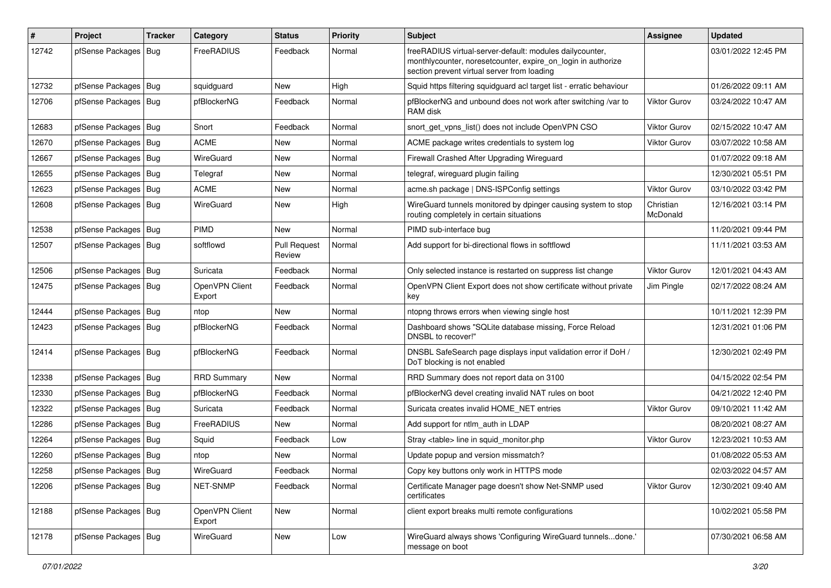| #     | Project                | <b>Tracker</b> | Category                 | <b>Status</b>                 | <b>Priority</b> | Subject                                                                                                                                                                 | Assignee              | <b>Updated</b>      |
|-------|------------------------|----------------|--------------------------|-------------------------------|-----------------|-------------------------------------------------------------------------------------------------------------------------------------------------------------------------|-----------------------|---------------------|
| 12742 | pfSense Packages   Bug |                | <b>FreeRADIUS</b>        | Feedback                      | Normal          | freeRADIUS virtual-server-default: modules dailycounter,<br>monthlycounter, noresetcounter, expire on login in authorize<br>section prevent virtual server from loading |                       | 03/01/2022 12:45 PM |
| 12732 | pfSense Packages       | Bug            | squidguard               | New                           | High            | Squid https filtering squidguard acl target list - erratic behaviour                                                                                                    |                       | 01/26/2022 09:11 AM |
| 12706 | pfSense Packages       | Bug            | pfBlockerNG              | Feedback                      | Normal          | pfBlockerNG and unbound does not work after switching /var to<br>RAM disk                                                                                               | <b>Viktor Gurov</b>   | 03/24/2022 10:47 AM |
| 12683 | pfSense Packages   Bug |                | Snort                    | Feedback                      | Normal          | snort get vpns list() does not include OpenVPN CSO                                                                                                                      | <b>Viktor Gurov</b>   | 02/15/2022 10:47 AM |
| 12670 | pfSense Packages       | Bug            | <b>ACME</b>              | New                           | Normal          | ACME package writes credentials to system log                                                                                                                           | <b>Viktor Gurov</b>   | 03/07/2022 10:58 AM |
| 12667 | pfSense Packages       | Bug            | WireGuard                | New                           | Normal          | Firewall Crashed After Upgrading Wireguard                                                                                                                              |                       | 01/07/2022 09:18 AM |
| 12655 | pfSense Packages       | Bug            | Telegraf                 | New                           | Normal          | telegraf, wireguard plugin failing                                                                                                                                      |                       | 12/30/2021 05:51 PM |
| 12623 | pfSense Packages   Bug |                | <b>ACME</b>              | New                           | Normal          | acme.sh package   DNS-ISPConfig settings                                                                                                                                | <b>Viktor Gurov</b>   | 03/10/2022 03:42 PM |
| 12608 | pfSense Packages   Bug |                | WireGuard                | New                           | High            | WireGuard tunnels monitored by dpinger causing system to stop<br>routing completely in certain situations                                                               | Christian<br>McDonald | 12/16/2021 03:14 PM |
| 12538 | pfSense Packages   Bug |                | PIMD                     | New                           | Normal          | PIMD sub-interface bug                                                                                                                                                  |                       | 11/20/2021 09:44 PM |
| 12507 | pfSense Packages   Bug |                | softflowd                | <b>Pull Request</b><br>Review | Normal          | Add support for bi-directional flows in softflowd                                                                                                                       |                       | 11/11/2021 03:53 AM |
| 12506 | pfSense Packages       | Bug            | Suricata                 | Feedback                      | Normal          | Only selected instance is restarted on suppress list change                                                                                                             | <b>Viktor Gurov</b>   | 12/01/2021 04:43 AM |
| 12475 | pfSense Packages       | Bug            | OpenVPN Client<br>Export | Feedback                      | Normal          | OpenVPN Client Export does not show certificate without private<br>key                                                                                                  | Jim Pingle            | 02/17/2022 08:24 AM |
| 12444 | pfSense Packages   Bug |                | ntop                     | New                           | Normal          | ntopng throws errors when viewing single host                                                                                                                           |                       | 10/11/2021 12:39 PM |
| 12423 | pfSense Packages       | Bug            | pfBlockerNG              | Feedback                      | Normal          | Dashboard shows "SQLite database missing, Force Reload<br>DNSBL to recover!"                                                                                            |                       | 12/31/2021 01:06 PM |
| 12414 | pfSense Packages   Bug |                | pfBlockerNG              | Feedback                      | Normal          | DNSBL SafeSearch page displays input validation error if DoH /<br>DoT blocking is not enabled                                                                           |                       | 12/30/2021 02:49 PM |
| 12338 | pfSense Packages   Bug |                | <b>RRD Summary</b>       | New                           | Normal          | RRD Summary does not report data on 3100                                                                                                                                |                       | 04/15/2022 02:54 PM |
| 12330 | pfSense Packages   Bug |                | pfBlockerNG              | Feedback                      | Normal          | pfBlockerNG devel creating invalid NAT rules on boot                                                                                                                    |                       | 04/21/2022 12:40 PM |
| 12322 | pfSense Packages   Bug |                | Suricata                 | Feedback                      | Normal          | Suricata creates invalid HOME NET entries                                                                                                                               | Viktor Gurov          | 09/10/2021 11:42 AM |
| 12286 | pfSense Packages   Bug |                | FreeRADIUS               | New                           | Normal          | Add support for ntlm auth in LDAP                                                                                                                                       |                       | 08/20/2021 08:27 AM |
| 12264 | pfSense Packages       | Bug            | Squid                    | Feedback                      | Low             | Stray <table> line in squid monitor.php</table>                                                                                                                         | <b>Viktor Gurov</b>   | 12/23/2021 10:53 AM |
| 12260 | pfSense Packages   Bug |                | ntop                     | New                           | Normal          | Update popup and version missmatch?                                                                                                                                     |                       | 01/08/2022 05:53 AM |
| 12258 | pfSense Packages   Bug |                | WireGuard                | Feedback                      | Normal          | Copy key buttons only work in HTTPS mode                                                                                                                                |                       | 02/03/2022 04:57 AM |
| 12206 | pfSense Packages   Bug |                | NET-SNMP                 | Feedback                      | Normal          | Certificate Manager page doesn't show Net-SNMP used<br>certificates                                                                                                     | Viktor Gurov          | 12/30/2021 09:40 AM |
| 12188 | pfSense Packages   Bug |                | OpenVPN Client<br>Export | New                           | Normal          | client export breaks multi remote configurations                                                                                                                        |                       | 10/02/2021 05:58 PM |
| 12178 | pfSense Packages   Bug |                | WireGuard                | <b>New</b>                    | Low             | WireGuard always shows 'Configuring WireGuard tunnelsdone.'<br>message on boot                                                                                          |                       | 07/30/2021 06:58 AM |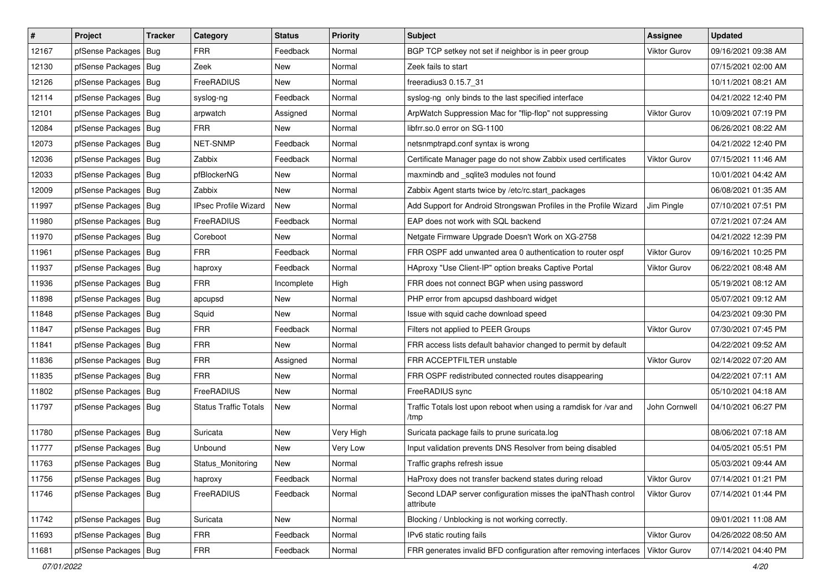| $\sharp$ | Project                | <b>Tracker</b> | Category                     | <b>Status</b> | <b>Priority</b> | Subject                                                                    | <b>Assignee</b>     | <b>Updated</b>      |
|----------|------------------------|----------------|------------------------------|---------------|-----------------|----------------------------------------------------------------------------|---------------------|---------------------|
| 12167    | pfSense Packages       | Bug            | <b>FRR</b>                   | Feedback      | Normal          | BGP TCP setkey not set if neighbor is in peer group                        | Viktor Gurov        | 09/16/2021 09:38 AM |
| 12130    | pfSense Packages   Bug |                | Zeek                         | New           | Normal          | Zeek fails to start                                                        |                     | 07/15/2021 02:00 AM |
| 12126    | pfSense Packages       | Bug            | FreeRADIUS                   | New           | Normal          | freeradius3 0.15.7 31                                                      |                     | 10/11/2021 08:21 AM |
| 12114    | pfSense Packages       | Bug            | syslog-ng                    | Feedback      | Normal          | syslog-ng only binds to the last specified interface                       |                     | 04/21/2022 12:40 PM |
| 12101    | pfSense Packages   Bug |                | arpwatch                     | Assigned      | Normal          | ArpWatch Suppression Mac for "flip-flop" not suppressing                   | Viktor Gurov        | 10/09/2021 07:19 PM |
| 12084    | pfSense Packages   Bug |                | <b>FRR</b>                   | New           | Normal          | libfrr.so.0 error on SG-1100                                               |                     | 06/26/2021 08:22 AM |
| 12073    | pfSense Packages   Bug |                | NET-SNMP                     | Feedback      | Normal          | netsnmptrapd.conf syntax is wrong                                          |                     | 04/21/2022 12:40 PM |
| 12036    | pfSense Packages       | Bug            | Zabbix                       | Feedback      | Normal          | Certificate Manager page do not show Zabbix used certificates              | Viktor Gurov        | 07/15/2021 11:46 AM |
| 12033    | pfSense Packages   Bug |                | pfBlockerNG                  | New           | Normal          | maxmindb and _sqlite3 modules not found                                    |                     | 10/01/2021 04:42 AM |
| 12009    | pfSense Packages   Bug |                | Zabbix                       | New           | Normal          | Zabbix Agent starts twice by /etc/rc.start_packages                        |                     | 06/08/2021 01:35 AM |
| 11997    | pfSense Packages   Bug |                | <b>IPsec Profile Wizard</b>  | New           | Normal          | Add Support for Android Strongswan Profiles in the Profile Wizard          | Jim Pingle          | 07/10/2021 07:51 PM |
| 11980    | pfSense Packages   Bug |                | FreeRADIUS                   | Feedback      | Normal          | EAP does not work with SQL backend                                         |                     | 07/21/2021 07:24 AM |
| 11970    | pfSense Packages   Bug |                | Coreboot                     | New           | Normal          | Netgate Firmware Upgrade Doesn't Work on XG-2758                           |                     | 04/21/2022 12:39 PM |
| 11961    | pfSense Packages   Bug |                | <b>FRR</b>                   | Feedback      | Normal          | FRR OSPF add unwanted area 0 authentication to router ospf                 | Viktor Gurov        | 09/16/2021 10:25 PM |
| 11937    | pfSense Packages   Bug |                | haproxy                      | Feedback      | Normal          | HAproxy "Use Client-IP" option breaks Captive Portal                       | Viktor Gurov        | 06/22/2021 08:48 AM |
| 11936    | pfSense Packages   Bug |                | <b>FRR</b>                   | Incomplete    | High            | FRR does not connect BGP when using password                               |                     | 05/19/2021 08:12 AM |
| 11898    | pfSense Packages       | Bug            | apcupsd                      | New           | Normal          | PHP error from apcupsd dashboard widget                                    |                     | 05/07/2021 09:12 AM |
| 11848    | pfSense Packages   Bug |                | Squid                        | New           | Normal          | Issue with squid cache download speed                                      |                     | 04/23/2021 09:30 PM |
| 11847    | pfSense Packages   Bug |                | <b>FRR</b>                   | Feedback      | Normal          | Filters not applied to PEER Groups                                         | Viktor Gurov        | 07/30/2021 07:45 PM |
| 11841    | pfSense Packages   Bug |                | <b>FRR</b>                   | New           | Normal          | FRR access lists default bahavior changed to permit by default             |                     | 04/22/2021 09:52 AM |
| 11836    | pfSense Packages       | Bug            | <b>FRR</b>                   | Assigned      | Normal          | FRR ACCEPTFILTER unstable                                                  | Viktor Gurov        | 02/14/2022 07:20 AM |
| 11835    | pfSense Packages   Bug |                | <b>FRR</b>                   | New           | Normal          | FRR OSPF redistributed connected routes disappearing                       |                     | 04/22/2021 07:11 AM |
| 11802    | pfSense Packages       | Bug            | FreeRADIUS                   | New           | Normal          | FreeRADIUS sync                                                            |                     | 05/10/2021 04:18 AM |
| 11797    | pfSense Packages   Bug |                | <b>Status Traffic Totals</b> | New           | Normal          | Traffic Totals lost upon reboot when using a ramdisk for /var and<br>/tmp  | John Cornwell       | 04/10/2021 06:27 PM |
| 11780    | pfSense Packages   Bug |                | Suricata                     | <b>New</b>    | Very High       | Suricata package fails to prune suricata.log                               |                     | 08/06/2021 07:18 AM |
| 11777    | pfSense Packages   Bug |                | Unbound                      | New           | Very Low        | Input validation prevents DNS Resolver from being disabled                 |                     | 04/05/2021 05:51 PM |
| 11763    | pfSense Packages   Bug |                | Status_Monitoring            | New           | Normal          | Traffic graphs refresh issue                                               |                     | 05/03/2021 09:44 AM |
| 11756    | pfSense Packages   Bug |                | haproxy                      | Feedback      | Normal          | HaProxy does not transfer backend states during reload                     | <b>Viktor Gurov</b> | 07/14/2021 01:21 PM |
| 11746    | pfSense Packages   Bug |                | FreeRADIUS                   | Feedback      | Normal          | Second LDAP server configuration misses the ipaNThash control<br>attribute | Viktor Gurov        | 07/14/2021 01:44 PM |
| 11742    | pfSense Packages   Bug |                | Suricata                     | New           | Normal          | Blocking / Unblocking is not working correctly.                            |                     | 09/01/2021 11:08 AM |
| 11693    | pfSense Packages   Bug |                | <b>FRR</b>                   | Feedback      | Normal          | IPv6 static routing fails                                                  | Viktor Gurov        | 04/26/2022 08:50 AM |
| 11681    | pfSense Packages   Bug |                | <b>FRR</b>                   | Feedback      | Normal          | FRR generates invalid BFD configuration after removing interfaces          | Viktor Gurov        | 07/14/2021 04:40 PM |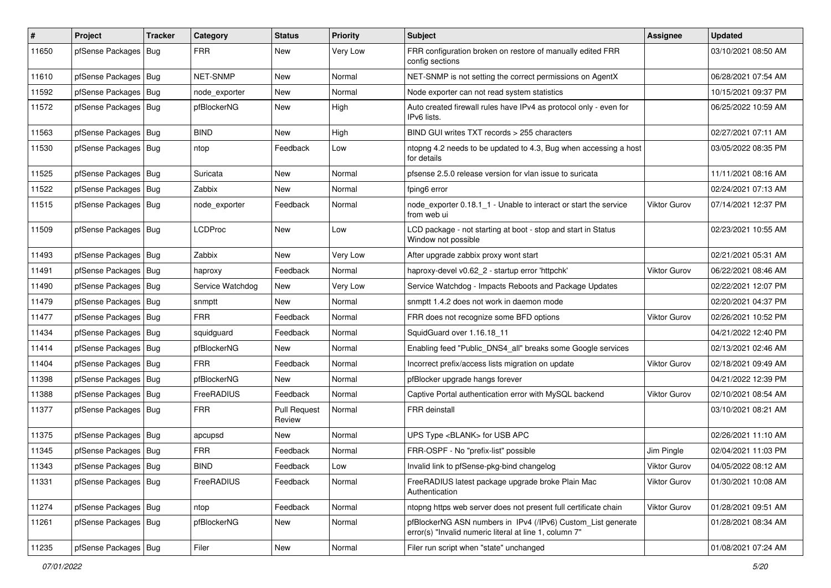| $\sharp$ | Project                | <b>Tracker</b> | Category         | <b>Status</b>                 | <b>Priority</b> | <b>Subject</b>                                                                                                         | <b>Assignee</b>     | <b>Updated</b>      |
|----------|------------------------|----------------|------------------|-------------------------------|-----------------|------------------------------------------------------------------------------------------------------------------------|---------------------|---------------------|
| 11650    | pfSense Packages       | Bug            | <b>FRR</b>       | New                           | Very Low        | FRR configuration broken on restore of manually edited FRR<br>config sections                                          |                     | 03/10/2021 08:50 AM |
| 11610    | pfSense Packages   Bug |                | <b>NET-SNMP</b>  | New                           | Normal          | NET-SNMP is not setting the correct permissions on AgentX                                                              |                     | 06/28/2021 07:54 AM |
| 11592    | pfSense Packages   Bug |                | node exporter    | New                           | Normal          | Node exporter can not read system statistics                                                                           |                     | 10/15/2021 09:37 PM |
| 11572    | pfSense Packages       | Bug            | pfBlockerNG      | New                           | High            | Auto created firewall rules have IPv4 as protocol only - even for<br>IPv6 lists.                                       |                     | 06/25/2022 10:59 AM |
| 11563    | pfSense Packages   Bug |                | <b>BIND</b>      | New                           | High            | BIND GUI writes TXT records > 255 characters                                                                           |                     | 02/27/2021 07:11 AM |
| 11530    | pfSense Packages   Bug |                | ntop             | Feedback                      | Low             | ntopng 4.2 needs to be updated to 4.3, Bug when accessing a host<br>for details                                        |                     | 03/05/2022 08:35 PM |
| 11525    | pfSense Packages   Bug |                | Suricata         | New                           | Normal          | pfsense 2.5.0 release version for vlan issue to suricata                                                               |                     | 11/11/2021 08:16 AM |
| 11522    | pfSense Packages   Bug |                | Zabbix           | New                           | Normal          | fping6 error                                                                                                           |                     | 02/24/2021 07:13 AM |
| 11515    | pfSense Packages   Bug |                | node exporter    | Feedback                      | Normal          | node exporter 0.18.1 1 - Unable to interact or start the service<br>from web ui                                        | <b>Viktor Gurov</b> | 07/14/2021 12:37 PM |
| 11509    | pfSense Packages   Bug |                | LCDProc          | New                           | Low             | LCD package - not starting at boot - stop and start in Status<br>Window not possible                                   |                     | 02/23/2021 10:55 AM |
| 11493    | pfSense Packages       | Bug            | Zabbix           | New                           | Very Low        | After upgrade zabbix proxy wont start                                                                                  |                     | 02/21/2021 05:31 AM |
| 11491    | pfSense Packages   Bug |                | haproxy          | Feedback                      | Normal          | haproxy-devel v0.62 2 - startup error 'httpchk'                                                                        | Viktor Gurov        | 06/22/2021 08:46 AM |
| 11490    | pfSense Packages   Bug |                | Service Watchdog | New                           | Very Low        | Service Watchdog - Impacts Reboots and Package Updates                                                                 |                     | 02/22/2021 12:07 PM |
| 11479    | pfSense Packages   Bug |                | snmptt           | New                           | Normal          | snmptt 1.4.2 does not work in daemon mode                                                                              |                     | 02/20/2021 04:37 PM |
| 11477    | pfSense Packages   Bug |                | FRR              | Feedback                      | Normal          | FRR does not recognize some BFD options                                                                                | <b>Viktor Gurov</b> | 02/26/2021 10:52 PM |
| 11434    | pfSense Packages       | Bug            | squidguard       | Feedback                      | Normal          | SquidGuard over 1.16.18 11                                                                                             |                     | 04/21/2022 12:40 PM |
| 11414    | pfSense Packages   Bug |                | pfBlockerNG      | New                           | Normal          | Enabling feed "Public_DNS4_all" breaks some Google services                                                            |                     | 02/13/2021 02:46 AM |
| 11404    | pfSense Packages   Bug |                | <b>FRR</b>       | Feedback                      | Normal          | Incorrect prefix/access lists migration on update                                                                      | Viktor Gurov        | 02/18/2021 09:49 AM |
| 11398    | pfSense Packages       | Bug            | pfBlockerNG      | New                           | Normal          | pfBlocker upgrade hangs forever                                                                                        |                     | 04/21/2022 12:39 PM |
| 11388    | pfSense Packages   Bug |                | FreeRADIUS       | Feedback                      | Normal          | Captive Portal authentication error with MySQL backend                                                                 | <b>Viktor Gurov</b> | 02/10/2021 08:54 AM |
| 11377    | pfSense Packages   Bug |                | <b>FRR</b>       | <b>Pull Request</b><br>Review | Normal          | <b>FRR</b> deinstall                                                                                                   |                     | 03/10/2021 08:21 AM |
| 11375    | pfSense Packages   Bug |                | apcupsd          | New                           | Normal          | UPS Type <blank> for USB APC</blank>                                                                                   |                     | 02/26/2021 11:10 AM |
| 11345    | pfSense Packages       | Bug            | <b>FRR</b>       | Feedback                      | Normal          | FRR-OSPF - No "prefix-list" possible                                                                                   | Jim Pingle          | 02/04/2021 11:03 PM |
| 11343    | pfSense Packages   Bug |                | <b>BIND</b>      | Feedback                      | Low             | Invalid link to pfSense-pkg-bind changelog                                                                             | <b>Viktor Gurov</b> | 04/05/2022 08:12 AM |
| 11331    | pfSense Packages   Bug |                | FreeRADIUS       | Feedback                      | Normal          | FreeRADIUS latest package upgrade broke Plain Mac<br>Authentication                                                    | Viktor Gurov        | 01/30/2021 10:08 AM |
| 11274    | pfSense Packages   Bug |                | ntop             | Feedback                      | Normal          | ntopng https web server does not present full certificate chain                                                        | Viktor Gurov        | 01/28/2021 09:51 AM |
| 11261    | pfSense Packages   Bug |                | pfBlockerNG      | New                           | Normal          | pfBlockerNG ASN numbers in IPv4 (/IPv6) Custom_List generate<br>error(s) "Invalid numeric literal at line 1, column 7" |                     | 01/28/2021 08:34 AM |
| 11235    | pfSense Packages   Bug |                | Filer            | New                           | Normal          | Filer run script when "state" unchanged                                                                                |                     | 01/08/2021 07:24 AM |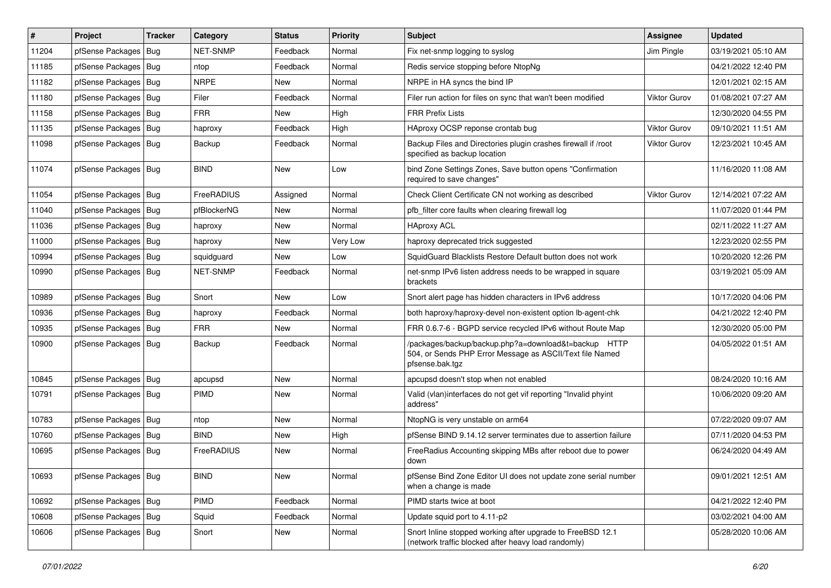| $\sharp$ | Project                | <b>Tracker</b> | Category        | <b>Status</b> | Priority | Subject                                                                                                                             | <b>Assignee</b> | <b>Updated</b>      |
|----------|------------------------|----------------|-----------------|---------------|----------|-------------------------------------------------------------------------------------------------------------------------------------|-----------------|---------------------|
| 11204    | pfSense Packages       | Bug            | <b>NET-SNMP</b> | Feedback      | Normal   | Fix net-snmp logging to syslog                                                                                                      | Jim Pingle      | 03/19/2021 05:10 AM |
| 11185    | pfSense Packages   Bug |                | ntop            | Feedback      | Normal   | Redis service stopping before NtopNg                                                                                                |                 | 04/21/2022 12:40 PM |
| 11182    | pfSense Packages       | Bug            | <b>NRPE</b>     | New           | Normal   | NRPE in HA syncs the bind IP                                                                                                        |                 | 12/01/2021 02:15 AM |
| 11180    | pfSense Packages   Bug |                | Filer           | Feedback      | Normal   | Filer run action for files on sync that wan't been modified                                                                         | Viktor Gurov    | 01/08/2021 07:27 AM |
| 11158    | pfSense Packages   Bug |                | <b>FRR</b>      | New           | High     | <b>FRR Prefix Lists</b>                                                                                                             |                 | 12/30/2020 04:55 PM |
| 11135    | pfSense Packages   Bug |                | haproxy         | Feedback      | High     | HAproxy OCSP reponse crontab bug                                                                                                    | Viktor Gurov    | 09/10/2021 11:51 AM |
| 11098    | pfSense Packages   Bug |                | Backup          | Feedback      | Normal   | Backup Files and Directories plugin crashes firewall if /root<br>specified as backup location                                       | Viktor Gurov    | 12/23/2021 10:45 AM |
| 11074    | pfSense Packages   Bug |                | <b>BIND</b>     | New           | Low      | bind Zone Settings Zones, Save button opens "Confirmation<br>required to save changes"                                              |                 | 11/16/2020 11:08 AM |
| 11054    | pfSense Packages   Bug |                | FreeRADIUS      | Assigned      | Normal   | Check Client Certificate CN not working as described                                                                                | Viktor Gurov    | 12/14/2021 07:22 AM |
| 11040    | pfSense Packages   Bug |                | pfBlockerNG     | New           | Normal   | pfb filter core faults when clearing firewall log                                                                                   |                 | 11/07/2020 01:44 PM |
| 11036    | pfSense Packages       | Bug            | haproxy         | New           | Normal   | <b>HAproxy ACL</b>                                                                                                                  |                 | 02/11/2022 11:27 AM |
| 11000    | pfSense Packages   Bug |                | haproxy         | New           | Very Low | haproxy deprecated trick suggested                                                                                                  |                 | 12/23/2020 02:55 PM |
| 10994    | pfSense Packages   Bug |                | squidguard      | New           | Low      | SquidGuard Blacklists Restore Default button does not work                                                                          |                 | 10/20/2020 12:26 PM |
| 10990    | pfSense Packages   Bug |                | <b>NET-SNMP</b> | Feedback      | Normal   | net-snmp IPv6 listen address needs to be wrapped in square<br>brackets                                                              |                 | 03/19/2021 05:09 AM |
| 10989    | pfSense Packages   Bug |                | Snort           | New           | Low      | Snort alert page has hidden characters in IPv6 address                                                                              |                 | 10/17/2020 04:06 PM |
| 10936    | pfSense Packages       | Bug            | haproxy         | Feedback      | Normal   | both haproxy/haproxy-devel non-existent option lb-agent-chk                                                                         |                 | 04/21/2022 12:40 PM |
| 10935    | pfSense Packages   Bug |                | <b>FRR</b>      | New           | Normal   | FRR 0.6.7-6 - BGPD service recycled IPv6 without Route Map                                                                          |                 | 12/30/2020 05:00 PM |
| 10900    | pfSense Packages   Bug |                | Backup          | Feedback      | Normal   | /packages/backup/backup.php?a=download&t=backup HTTP<br>504, or Sends PHP Error Message as ASCII/Text file Named<br>pfsense.bak.tgz |                 | 04/05/2022 01:51 AM |
| 10845    | pfSense Packages   Bug |                | apcupsd         | New           | Normal   | apcupsd doesn't stop when not enabled                                                                                               |                 | 08/24/2020 10:16 AM |
| 10791    | pfSense Packages   Bug |                | <b>PIMD</b>     | New           | Normal   | Valid (vlan)interfaces do not get vif reporting "Invalid phyint<br>address"                                                         |                 | 10/06/2020 09:20 AM |
| 10783    | pfSense Packages   Bug |                | ntop            | New           | Normal   | NtopNG is very unstable on arm64                                                                                                    |                 | 07/22/2020 09:07 AM |
| 10760    | pfSense Packages   Bug |                | <b>BIND</b>     | New           | High     | pfSense BIND 9.14.12 server terminates due to assertion failure                                                                     |                 | 07/11/2020 04:53 PM |
| 10695    | pfSense Packages   Bug |                | FreeRADIUS      | New           | Normal   | FreeRadius Accounting skipping MBs after reboot due to power<br>down                                                                |                 | 06/24/2020 04:49 AM |
| 10693    | pfSense Packages   Bug |                | <b>BIND</b>     | New           | Normal   | pfSense Bind Zone Editor UI does not update zone serial number<br>when a change is made                                             |                 | 09/01/2021 12:51 AM |
| 10692    | pfSense Packages   Bug |                | PIMD            | Feedback      | Normal   | PIMD starts twice at boot                                                                                                           |                 | 04/21/2022 12:40 PM |
| 10608    | pfSense Packages   Bug |                | Squid           | Feedback      | Normal   | Update squid port to 4.11-p2                                                                                                        |                 | 03/02/2021 04:00 AM |
| 10606    | pfSense Packages   Bug |                | Snort           | New           | Normal   | Snort Inline stopped working after upgrade to FreeBSD 12.1<br>(network traffic blocked after heavy load randomly)                   |                 | 05/28/2020 10:06 AM |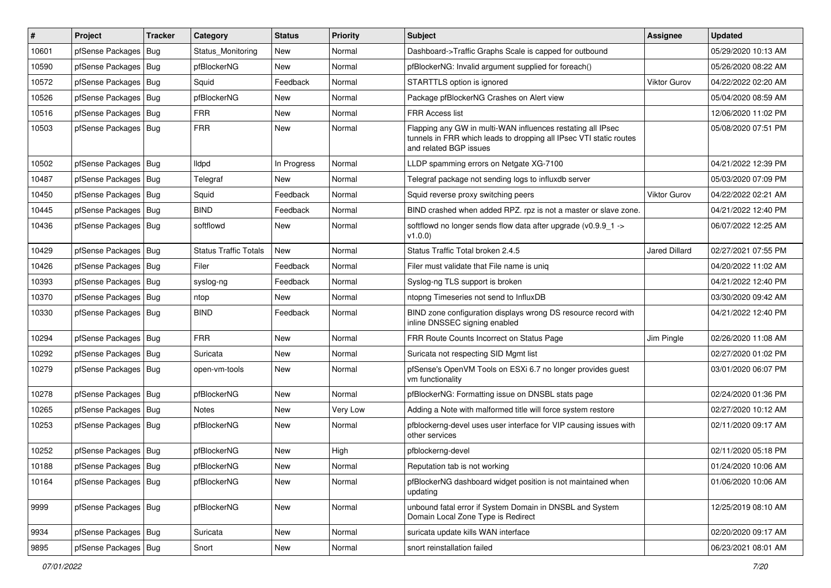| #     | Project                | <b>Tracker</b> | Category                     | <b>Status</b> | Priority | <b>Subject</b>                                                                                                                                              | Assignee            | <b>Updated</b>      |
|-------|------------------------|----------------|------------------------------|---------------|----------|-------------------------------------------------------------------------------------------------------------------------------------------------------------|---------------------|---------------------|
| 10601 | pfSense Packages       | Bug            | Status Monitoring            | New           | Normal   | Dashboard->Traffic Graphs Scale is capped for outbound                                                                                                      |                     | 05/29/2020 10:13 AM |
| 10590 | pfSense Packages   Bug |                | pfBlockerNG                  | <b>New</b>    | Normal   | pfBlockerNG: Invalid argument supplied for foreach()                                                                                                        |                     | 05/26/2020 08:22 AM |
| 10572 | pfSense Packages   Bug |                | Squid                        | Feedback      | Normal   | STARTTLS option is ignored                                                                                                                                  | <b>Viktor Gurov</b> | 04/22/2022 02:20 AM |
| 10526 | pfSense Packages   Bug |                | pfBlockerNG                  | New           | Normal   | Package pfBlockerNG Crashes on Alert view                                                                                                                   |                     | 05/04/2020 08:59 AM |
| 10516 | pfSense Packages   Bug |                | <b>FRR</b>                   | <b>New</b>    | Normal   | <b>FRR Access list</b>                                                                                                                                      |                     | 12/06/2020 11:02 PM |
| 10503 | pfSense Packages   Bug |                | <b>FRR</b>                   | <b>New</b>    | Normal   | Flapping any GW in multi-WAN influences restating all IPsec<br>tunnels in FRR which leads to dropping all IPsec VTI static routes<br>and related BGP issues |                     | 05/08/2020 07:51 PM |
| 10502 | pfSense Packages   Bug |                | <b>Ildpd</b>                 | In Progress   | Normal   | LLDP spamming errors on Netgate XG-7100                                                                                                                     |                     | 04/21/2022 12:39 PM |
| 10487 | pfSense Packages   Bug |                | Telegraf                     | New           | Normal   | Telegraf package not sending logs to influxdb server                                                                                                        |                     | 05/03/2020 07:09 PM |
| 10450 | pfSense Packages   Bug |                | Squid                        | Feedback      | Normal   | Squid reverse proxy switching peers                                                                                                                         | <b>Viktor Gurov</b> | 04/22/2022 02:21 AM |
| 10445 | pfSense Packages   Bug |                | <b>BIND</b>                  | Feedback      | Normal   | BIND crashed when added RPZ. rpz is not a master or slave zone.                                                                                             |                     | 04/21/2022 12:40 PM |
| 10436 | pfSense Packages   Bug |                | softflowd                    | <b>New</b>    | Normal   | softflowd no longer sends flow data after upgrade ( $v0.9.9$ 1 -><br>v1.0.0                                                                                 |                     | 06/07/2022 12:25 AM |
| 10429 | pfSense Packages   Bug |                | <b>Status Traffic Totals</b> | <b>New</b>    | Normal   | Status Traffic Total broken 2.4.5                                                                                                                           | Jared Dillard       | 02/27/2021 07:55 PM |
| 10426 | pfSense Packages   Bug |                | Filer                        | Feedback      | Normal   | Filer must validate that File name is unig                                                                                                                  |                     | 04/20/2022 11:02 AM |
| 10393 | pfSense Packages   Bug |                | syslog-ng                    | Feedback      | Normal   | Syslog-ng TLS support is broken                                                                                                                             |                     | 04/21/2022 12:40 PM |
| 10370 | pfSense Packages   Bug |                | ntop                         | New           | Normal   | ntopng Timeseries not send to InfluxDB                                                                                                                      |                     | 03/30/2020 09:42 AM |
| 10330 | pfSense Packages   Bug |                | <b>BIND</b>                  | Feedback      | Normal   | BIND zone configuration displays wrong DS resource record with<br>inline DNSSEC signing enabled                                                             |                     | 04/21/2022 12:40 PM |
| 10294 | pfSense Packages   Bug |                | <b>FRR</b>                   | <b>New</b>    | Normal   | FRR Route Counts Incorrect on Status Page                                                                                                                   | Jim Pingle          | 02/26/2020 11:08 AM |
| 10292 | pfSense Packages   Bug |                | Suricata                     | <b>New</b>    | Normal   | Suricata not respecting SID Mgmt list                                                                                                                       |                     | 02/27/2020 01:02 PM |
| 10279 | pfSense Packages   Bug |                | open-vm-tools                | New           | Normal   | pfSense's OpenVM Tools on ESXi 6.7 no longer provides guest<br>vm functionality                                                                             |                     | 03/01/2020 06:07 PM |
| 10278 | pfSense Packages   Bug |                | pfBlockerNG                  | <b>New</b>    | Normal   | pfBlockerNG: Formatting issue on DNSBL stats page                                                                                                           |                     | 02/24/2020 01:36 PM |
| 10265 | pfSense Packages   Bug |                | <b>Notes</b>                 | <b>New</b>    | Very Low | Adding a Note with malformed title will force system restore                                                                                                |                     | 02/27/2020 10:12 AM |
| 10253 | pfSense Packages   Bug |                | pfBlockerNG                  | <b>New</b>    | Normal   | pfblockerng-devel uses user interface for VIP causing issues with<br>other services                                                                         |                     | 02/11/2020 09:17 AM |
| 10252 | pfSense Packages   Bug |                | pfBlockerNG                  | <b>New</b>    | High     | pfblockerng-devel                                                                                                                                           |                     | 02/11/2020 05:18 PM |
| 10188 | pfSense Packages   Bug |                | pfBlockerNG                  | New           | Normal   | Reputation tab is not working                                                                                                                               |                     | 01/24/2020 10:06 AM |
| 10164 | pfSense Packages   Bug |                | pfBlockerNG                  | New           | Normal   | pfBlockerNG dashboard widget position is not maintained when<br>updating                                                                                    |                     | 01/06/2020 10:06 AM |
| 9999  | pfSense Packages   Bug |                | pfBlockerNG                  | New           | Normal   | unbound fatal error if System Domain in DNSBL and System<br>Domain Local Zone Type is Redirect                                                              |                     | 12/25/2019 08:10 AM |
| 9934  | pfSense Packages   Bug |                | Suricata                     | New           | Normal   | suricata update kills WAN interface                                                                                                                         |                     | 02/20/2020 09:17 AM |
| 9895  | pfSense Packages   Bug |                | Snort                        | New           | Normal   | snort reinstallation failed                                                                                                                                 |                     | 06/23/2021 08:01 AM |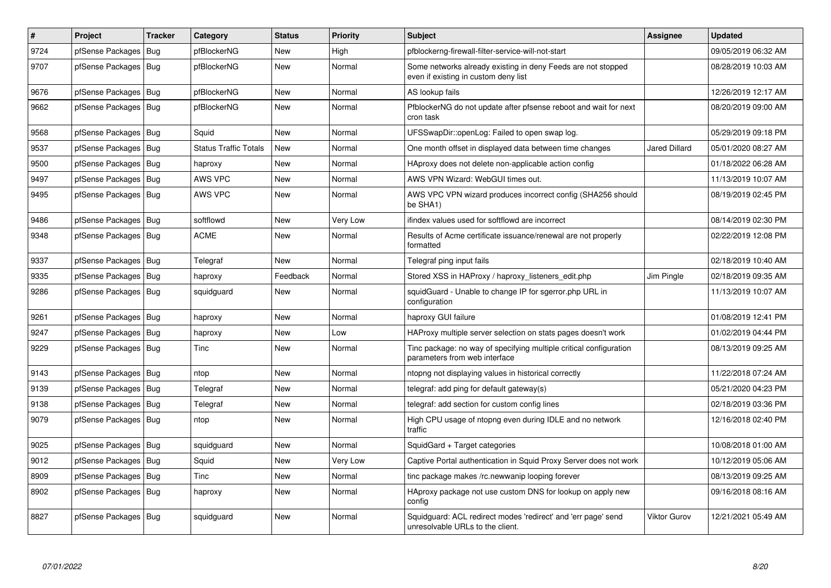| $\pmb{\#}$ | <b>Project</b>         | <b>Tracker</b> | Category                     | <b>Status</b> | Priority | <b>Subject</b>                                                                                       | <b>Assignee</b>     | <b>Updated</b>      |
|------------|------------------------|----------------|------------------------------|---------------|----------|------------------------------------------------------------------------------------------------------|---------------------|---------------------|
| 9724       | pfSense Packages   Bug |                | pfBlockerNG                  | New           | High     | pfblockerng-firewall-filter-service-will-not-start                                                   |                     | 09/05/2019 06:32 AM |
| 9707       | pfSense Packages   Bug |                | pfBlockerNG                  | New           | Normal   | Some networks already existing in deny Feeds are not stopped<br>even if existing in custom deny list |                     | 08/28/2019 10:03 AM |
| 9676       | pfSense Packages   Bug |                | pfBlockerNG                  | New           | Normal   | AS lookup fails                                                                                      |                     | 12/26/2019 12:17 AM |
| 9662       | pfSense Packages   Bug |                | pfBlockerNG                  | New           | Normal   | PfblockerNG do not update after pfsense reboot and wait for next<br>cron task                        |                     | 08/20/2019 09:00 AM |
| 9568       | pfSense Packages   Bug |                | Squid                        | <b>New</b>    | Normal   | UFSSwapDir::openLog: Failed to open swap log.                                                        |                     | 05/29/2019 09:18 PM |
| 9537       | pfSense Packages   Bug |                | <b>Status Traffic Totals</b> | New           | Normal   | One month offset in displayed data between time changes                                              | Jared Dillard       | 05/01/2020 08:27 AM |
| 9500       | pfSense Packages   Bug |                | haproxy                      | New           | Normal   | HAproxy does not delete non-applicable action config                                                 |                     | 01/18/2022 06:28 AM |
| 9497       | pfSense Packages   Bug |                | AWS VPC                      | New           | Normal   | AWS VPN Wizard: WebGUI times out.                                                                    |                     | 11/13/2019 10:07 AM |
| 9495       | pfSense Packages   Bug |                | AWS VPC                      | <b>New</b>    | Normal   | AWS VPC VPN wizard produces incorrect config (SHA256 should<br>be SHA1)                              |                     | 08/19/2019 02:45 PM |
| 9486       | pfSense Packages   Bug |                | softflowd                    | New           | Very Low | ifindex values used for softflowd are incorrect                                                      |                     | 08/14/2019 02:30 PM |
| 9348       | pfSense Packages   Bug |                | <b>ACME</b>                  | <b>New</b>    | Normal   | Results of Acme certificate issuance/renewal are not properly<br>formatted                           |                     | 02/22/2019 12:08 PM |
| 9337       | pfSense Packages   Bug |                | Telegraf                     | <b>New</b>    | Normal   | Telegraf ping input fails                                                                            |                     | 02/18/2019 10:40 AM |
| 9335       | pfSense Packages   Bug |                | haproxy                      | Feedback      | Normal   | Stored XSS in HAProxy / haproxy listeners edit.php                                                   | <b>Jim Pingle</b>   | 02/18/2019 09:35 AM |
| 9286       | pfSense Packages   Bug |                | squidguard                   | New           | Normal   | squidGuard - Unable to change IP for sgerror.php URL in<br>configuration                             |                     | 11/13/2019 10:07 AM |
| 9261       | pfSense Packages   Bug |                | haproxy                      | <b>New</b>    | Normal   | haproxy GUI failure                                                                                  |                     | 01/08/2019 12:41 PM |
| 9247       | pfSense Packages   Bug |                | haproxy                      | New           | Low      | HAProxy multiple server selection on stats pages doesn't work                                        |                     | 01/02/2019 04:44 PM |
| 9229       | pfSense Packages   Bug |                | Tinc                         | New           | Normal   | Tinc package: no way of specifying multiple critical configuration<br>parameters from web interface  |                     | 08/13/2019 09:25 AM |
| 9143       | pfSense Packages   Bug |                | ntop                         | New           | Normal   | ntopng not displaying values in historical correctly                                                 |                     | 11/22/2018 07:24 AM |
| 9139       | pfSense Packages   Bug |                | Telegraf                     | New           | Normal   | telegraf: add ping for default gateway(s)                                                            |                     | 05/21/2020 04:23 PM |
| 9138       | pfSense Packages   Bug |                | Telegraf                     | New           | Normal   | telegraf: add section for custom config lines                                                        |                     | 02/18/2019 03:36 PM |
| 9079       | pfSense Packages   Bug |                | ntop                         | New           | Normal   | High CPU usage of ntopng even during IDLE and no network<br>traffic                                  |                     | 12/16/2018 02:40 PM |
| 9025       | pfSense Packages   Bug |                | squidguard                   | New           | Normal   | SquidGard + Target categories                                                                        |                     | 10/08/2018 01:00 AM |
| 9012       | pfSense Packages   Bug |                | Squid                        | New           | Very Low | Captive Portal authentication in Squid Proxy Server does not work                                    |                     | 10/12/2019 05:06 AM |
| 8909       | pfSense Packages   Bug |                | Tinc                         | New           | Normal   | tinc package makes /rc.newwanip looping forever                                                      |                     | 08/13/2019 09:25 AM |
| 8902       | pfSense Packages   Bug |                | haproxy                      | New           | Normal   | HAproxy package not use custom DNS for lookup on apply new<br>config                                 |                     | 09/16/2018 08:16 AM |
| 8827       | pfSense Packages   Bug |                | squidguard                   | New           | Normal   | Squidguard: ACL redirect modes 'redirect' and 'err page' send<br>unresolvable URLs to the client.    | <b>Viktor Gurov</b> | 12/21/2021 05:49 AM |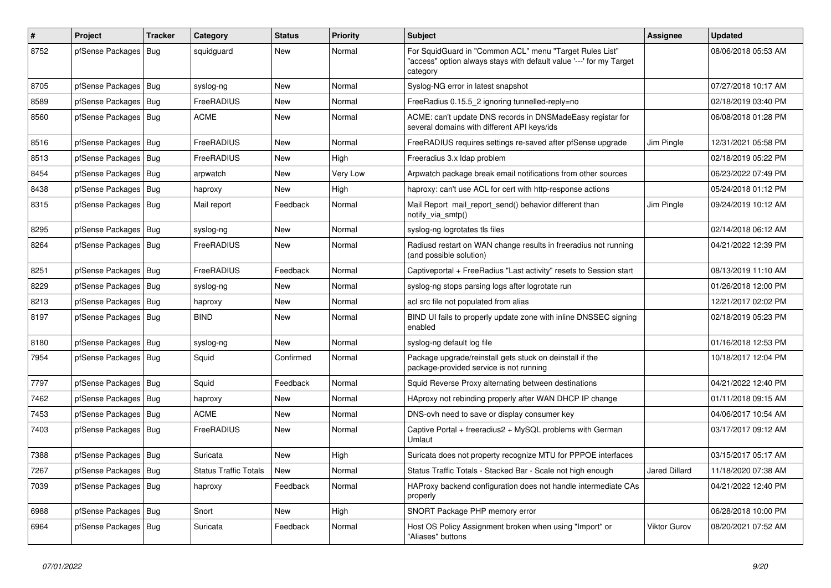| #    | <b>Project</b>         | <b>Tracker</b> | Category                     | <b>Status</b> | <b>Priority</b> | <b>Subject</b>                                                                                                                             | <b>Assignee</b>      | <b>Updated</b>      |
|------|------------------------|----------------|------------------------------|---------------|-----------------|--------------------------------------------------------------------------------------------------------------------------------------------|----------------------|---------------------|
| 8752 | pfSense Packages       | Bug            | squidguard                   | New           | Normal          | For SquidGuard in "Common ACL" menu "Target Rules List"<br>"access" option always stays with default value '---' for my Target<br>category |                      | 08/06/2018 05:53 AM |
| 8705 | pfSense Packages       | Bug            | syslog-ng                    | <b>New</b>    | Normal          | Syslog-NG error in latest snapshot                                                                                                         |                      | 07/27/2018 10:17 AM |
| 8589 | pfSense Packages   Bug |                | FreeRADIUS                   | <b>New</b>    | Normal          | FreeRadius 0.15.5 2 ignoring tunnelled-reply=no                                                                                            |                      | 02/18/2019 03:40 PM |
| 8560 | pfSense Packages   Bug |                | <b>ACME</b>                  | New           | Normal          | ACME: can't update DNS records in DNSMadeEasy registar for<br>several domains with different API keys/ids                                  |                      | 06/08/2018 01:28 PM |
| 8516 | pfSense Packages       | Bug            | FreeRADIUS                   | New           | Normal          | FreeRADIUS requires settings re-saved after pfSense upgrade                                                                                | Jim Pingle           | 12/31/2021 05:58 PM |
| 8513 | pfSense Packages       | Bug            | FreeRADIUS                   | New           | High            | Freeradius 3.x Idap problem                                                                                                                |                      | 02/18/2019 05:22 PM |
| 8454 | pfSense Packages       | Bug            | arpwatch                     | New           | Very Low        | Arpwatch package break email notifications from other sources                                                                              |                      | 06/23/2022 07:49 PM |
| 8438 | pfSense Packages       | Bug            | haproxy                      | New           | High            | haproxy: can't use ACL for cert with http-response actions                                                                                 |                      | 05/24/2018 01:12 PM |
| 8315 | pfSense Packages       | Bug            | Mail report                  | Feedback      | Normal          | Mail Report mail report send() behavior different than<br>notify_via_smtp()                                                                | Jim Pingle           | 09/24/2019 10:12 AM |
| 8295 | pfSense Packages       | Bug            | syslog-ng                    | New           | Normal          | syslog-ng logrotates tls files                                                                                                             |                      | 02/14/2018 06:12 AM |
| 8264 | pfSense Packages       | Bug            | FreeRADIUS                   | New           | Normal          | Radiusd restart on WAN change results in freeradius not running<br>(and possible solution)                                                 |                      | 04/21/2022 12:39 PM |
| 8251 | pfSense Packages       | Bua            | <b>FreeRADIUS</b>            | Feedback      | Normal          | Captiveportal + FreeRadius "Last activity" resets to Session start                                                                         |                      | 08/13/2019 11:10 AM |
| 8229 | pfSense Packages       | Bug            | syslog-ng                    | <b>New</b>    | Normal          | syslog-ng stops parsing logs after logrotate run                                                                                           |                      | 01/26/2018 12:00 PM |
| 8213 | pfSense Packages       | Bug            | haproxy                      | New           | Normal          | acl src file not populated from alias                                                                                                      |                      | 12/21/2017 02:02 PM |
| 8197 | pfSense Packages       | Bug            | <b>BIND</b>                  | New           | Normal          | BIND UI fails to properly update zone with inline DNSSEC signing<br>enabled                                                                |                      | 02/18/2019 05:23 PM |
| 8180 | pfSense Packages       | Bug            | syslog-ng                    | New           | Normal          | syslog-ng default log file                                                                                                                 |                      | 01/16/2018 12:53 PM |
| 7954 | pfSense Packages   Bug |                | Squid                        | Confirmed     | Normal          | Package upgrade/reinstall gets stuck on deinstall if the<br>package-provided service is not running                                        |                      | 10/18/2017 12:04 PM |
| 7797 | pfSense Packages       | Bug            | Squid                        | Feedback      | Normal          | Squid Reverse Proxy alternating between destinations                                                                                       |                      | 04/21/2022 12:40 PM |
| 7462 | pfSense Packages       | Bug            | haproxy                      | <b>New</b>    | Normal          | HAproxy not rebinding properly after WAN DHCP IP change                                                                                    |                      | 01/11/2018 09:15 AM |
| 7453 | pfSense Packages       | Bug            | <b>ACME</b>                  | New           | Normal          | DNS-ovh need to save or display consumer key                                                                                               |                      | 04/06/2017 10:54 AM |
| 7403 | pfSense Packages       | Bug            | <b>FreeRADIUS</b>            | New           | Normal          | Captive Portal + freeradius2 + MySQL problems with German<br>Umlaut                                                                        |                      | 03/17/2017 09:12 AM |
| 7388 | pfSense Packages       | Bug            | Suricata                     | <b>New</b>    | High            | Suricata does not property recognize MTU for PPPOE interfaces                                                                              |                      | 03/15/2017 05:17 AM |
| 7267 | pfSense Packages       | Bug            | <b>Status Traffic Totals</b> | <b>New</b>    | Normal          | Status Traffic Totals - Stacked Bar - Scale not high enough                                                                                | <b>Jared Dillard</b> | 11/18/2020 07:38 AM |
| 7039 | pfSense Packages       | Bug            | haproxy                      | Feedback      | Normal          | HAProxy backend configuration does not handle intermediate CAs<br>properly                                                                 |                      | 04/21/2022 12:40 PM |
| 6988 | pfSense Packages       | Bug            | Snort                        | New           | High            | SNORT Package PHP memory error                                                                                                             |                      | 06/28/2018 10:00 PM |
| 6964 | pfSense Packages       | Bug            | Suricata                     | Feedback      | Normal          | Host OS Policy Assignment broken when using "Import" or<br>"Aliases" buttons                                                               | <b>Viktor Gurov</b>  | 08/20/2021 07:52 AM |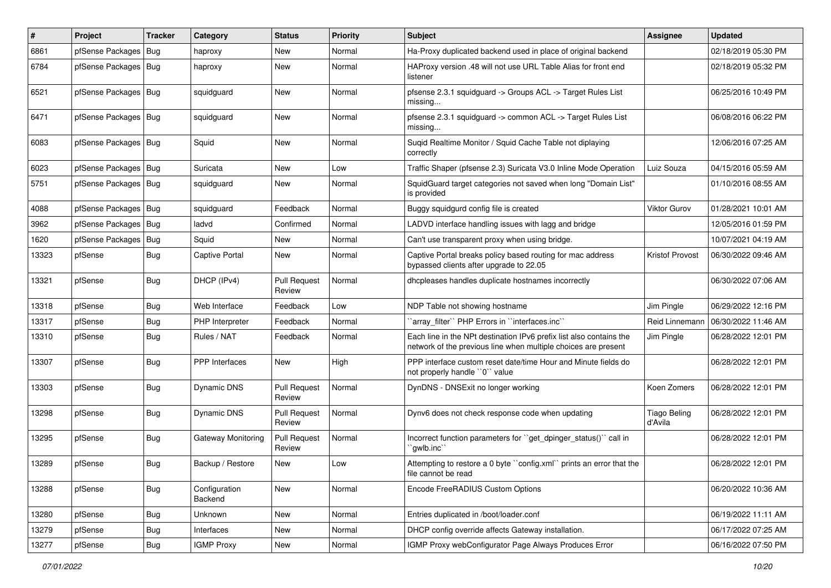| #     | Project                | <b>Tracker</b> | Category                 | <b>Status</b>                 | Priority | <b>Subject</b>                                                                                                                        | <b>Assignee</b>                | <b>Updated</b>      |
|-------|------------------------|----------------|--------------------------|-------------------------------|----------|---------------------------------------------------------------------------------------------------------------------------------------|--------------------------------|---------------------|
| 6861  | pfSense Packages       | Bug            | haproxy                  | New                           | Normal   | Ha-Proxy duplicated backend used in place of original backend                                                                         |                                | 02/18/2019 05:30 PM |
| 6784  | pfSense Packages   Bug |                | haproxy                  | New                           | Normal   | HAProxy version .48 will not use URL Table Alias for front end<br>listener                                                            |                                | 02/18/2019 05:32 PM |
| 6521  | pfSense Packages   Bug |                | squidguard               | New                           | Normal   | pfsense 2.3.1 squidguard -> Groups ACL -> Target Rules List<br>missing                                                                |                                | 06/25/2016 10:49 PM |
| 6471  | pfSense Packages   Bug |                | squidguard               | New                           | Normal   | pfsense 2.3.1 squidguard -> common ACL -> Target Rules List<br>missing                                                                |                                | 06/08/2016 06:22 PM |
| 6083  | pfSense Packages   Bug |                | Squid                    | New                           | Normal   | Sugid Realtime Monitor / Squid Cache Table not diplaying<br>correctly                                                                 |                                | 12/06/2016 07:25 AM |
| 6023  | pfSense Packages   Bug |                | Suricata                 | New                           | Low      | Traffic Shaper (pfsense 2.3) Suricata V3.0 Inline Mode Operation                                                                      | Luiz Souza                     | 04/15/2016 05:59 AM |
| 5751  | pfSense Packages   Bug |                | squidguard               | New                           | Normal   | SquidGuard target categories not saved when long "Domain List"<br>is provided                                                         |                                | 01/10/2016 08:55 AM |
| 4088  | pfSense Packages   Bug |                | squidguard               | Feedback                      | Normal   | Buggy squidgurd config file is created                                                                                                | Viktor Gurov                   | 01/28/2021 10:01 AM |
| 3962  | pfSense Packages       | Bug            | ladvd                    | Confirmed                     | Normal   | LADVD interface handling issues with lagg and bridge                                                                                  |                                | 12/05/2016 01:59 PM |
| 1620  | pfSense Packages       | Bug            | Squid                    | New                           | Normal   | Can't use transparent proxy when using bridge.                                                                                        |                                | 10/07/2021 04:19 AM |
| 13323 | pfSense                | Bug            | Captive Portal           | New                           | Normal   | Captive Portal breaks policy based routing for mac address<br>bypassed clients after upgrade to 22.05                                 | <b>Kristof Provost</b>         | 06/30/2022 09:46 AM |
| 13321 | pfSense                | Bug            | DHCP (IPv4)              | <b>Pull Request</b><br>Review | Normal   | dhcpleases handles duplicate hostnames incorrectly                                                                                    |                                | 06/30/2022 07:06 AM |
| 13318 | pfSense                | Bug            | Web Interface            | Feedback                      | Low      | NDP Table not showing hostname                                                                                                        | Jim Pingle                     | 06/29/2022 12:16 PM |
| 13317 | pfSense                | Bug            | PHP Interpreter          | Feedback                      | Normal   | 'array_filter'' PHP Errors in ''interfaces.inc''                                                                                      | Reid Linnemann                 | 06/30/2022 11:46 AM |
| 13310 | pfSense                | Bug            | Rules / NAT              | Feedback                      | Normal   | Each line in the NPt destination IPv6 prefix list also contains the<br>network of the previous line when multiple choices are present | Jim Pingle                     | 06/28/2022 12:01 PM |
| 13307 | pfSense                | Bug            | PPP Interfaces           | New                           | High     | PPP interface custom reset date/time Hour and Minute fields do<br>not properly handle "0" value                                       |                                | 06/28/2022 12:01 PM |
| 13303 | pfSense                | Bug            | Dynamic DNS              | <b>Pull Request</b><br>Review | Normal   | DynDNS - DNSExit no longer working                                                                                                    | Koen Zomers                    | 06/28/2022 12:01 PM |
| 13298 | pfSense                | Bug            | Dynamic DNS              | <b>Pull Request</b><br>Review | Normal   | Dynv6 does not check response code when updating                                                                                      | <b>Tiago Beling</b><br>d'Avila | 06/28/2022 12:01 PM |
| 13295 | pfSense                | Bug            | Gateway Monitoring       | <b>Pull Request</b><br>Review | Normal   | Incorrect function parameters for "get_dpinger_status()" call in<br>`gwlb.inc``                                                       |                                | 06/28/2022 12:01 PM |
| 13289 | pfSense                | Bug            | Backup / Restore         | New                           | Low      | Attempting to restore a 0 byte "config.xml" prints an error that the<br>file cannot be read                                           |                                | 06/28/2022 12:01 PM |
| 13288 | pfSense                | Bug            | Configuration<br>Backend | New                           | Normal   | Encode FreeRADIUS Custom Options                                                                                                      |                                | 06/20/2022 10:36 AM |
| 13280 | pfSense                | <b>Bug</b>     | Unknown                  | New                           | Normal   | Entries duplicated in /boot/loader.conf                                                                                               |                                | 06/19/2022 11:11 AM |
| 13279 | pfSense                | <b>Bug</b>     | Interfaces               | New                           | Normal   | DHCP config override affects Gateway installation.                                                                                    |                                | 06/17/2022 07:25 AM |
| 13277 | pfSense                | Bug            | <b>IGMP Proxy</b>        | New                           | Normal   | IGMP Proxy webConfigurator Page Always Produces Error                                                                                 |                                | 06/16/2022 07:50 PM |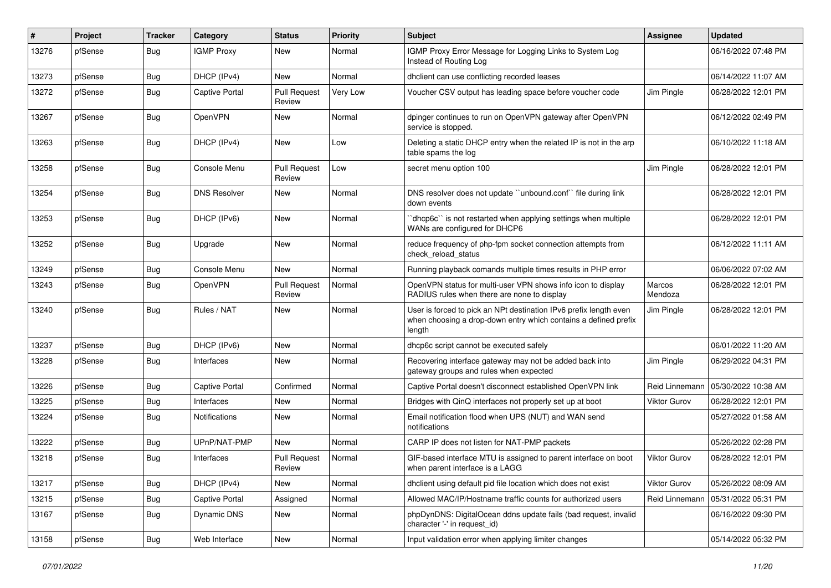| $\#$  | Project | Tracker    | Category              | <b>Status</b>                 | <b>Priority</b> | <b>Subject</b>                                                                                                                                 | <b>Assignee</b>     | <b>Updated</b>      |
|-------|---------|------------|-----------------------|-------------------------------|-----------------|------------------------------------------------------------------------------------------------------------------------------------------------|---------------------|---------------------|
| 13276 | pfSense | Bug        | <b>IGMP Proxy</b>     | New                           | Normal          | IGMP Proxy Error Message for Logging Links to System Log<br>Instead of Routing Log                                                             |                     | 06/16/2022 07:48 PM |
| 13273 | pfSense | <b>Bug</b> | DHCP (IPv4)           | New                           | Normal          | dhclient can use conflicting recorded leases                                                                                                   |                     | 06/14/2022 11:07 AM |
| 13272 | pfSense | <b>Bug</b> | <b>Captive Portal</b> | <b>Pull Request</b><br>Review | Very Low        | Voucher CSV output has leading space before voucher code                                                                                       | Jim Pingle          | 06/28/2022 12:01 PM |
| 13267 | pfSense | Bug        | <b>OpenVPN</b>        | New                           | Normal          | dpinger continues to run on OpenVPN gateway after OpenVPN<br>service is stopped.                                                               |                     | 06/12/2022 02:49 PM |
| 13263 | pfSense | Bug        | DHCP (IPv4)           | <b>New</b>                    | Low             | Deleting a static DHCP entry when the related IP is not in the arp<br>table spams the log                                                      |                     | 06/10/2022 11:18 AM |
| 13258 | pfSense | Bug        | Console Menu          | <b>Pull Request</b><br>Review | Low             | secret menu option 100                                                                                                                         | Jim Pingle          | 06/28/2022 12:01 PM |
| 13254 | pfSense | Bug        | <b>DNS Resolver</b>   | New                           | Normal          | DNS resolver does not update "unbound.conf" file during link<br>down events                                                                    |                     | 06/28/2022 12:01 PM |
| 13253 | pfSense | Bug        | DHCP (IPv6)           | New                           | Normal          | 'dhcp6c'' is not restarted when applying settings when multiple<br>WANs are configured for DHCP6                                               |                     | 06/28/2022 12:01 PM |
| 13252 | pfSense | Bug        | Upgrade               | New                           | Normal          | reduce frequency of php-fpm socket connection attempts from<br>check reload status                                                             |                     | 06/12/2022 11:11 AM |
| 13249 | pfSense | Bug        | Console Menu          | New                           | Normal          | Running playback comands multiple times results in PHP error                                                                                   |                     | 06/06/2022 07:02 AM |
| 13243 | pfSense | Bug        | OpenVPN               | <b>Pull Request</b><br>Review | Normal          | OpenVPN status for multi-user VPN shows info icon to display<br>RADIUS rules when there are none to display                                    | Marcos<br>Mendoza   | 06/28/2022 12:01 PM |
| 13240 | pfSense | Bug        | Rules / NAT           | New                           | Normal          | User is forced to pick an NPt destination IPv6 prefix length even<br>when choosing a drop-down entry which contains a defined prefix<br>length | Jim Pingle          | 06/28/2022 12:01 PM |
| 13237 | pfSense | Bug        | DHCP (IPv6)           | <b>New</b>                    | Normal          | dhcp6c script cannot be executed safely                                                                                                        |                     | 06/01/2022 11:20 AM |
| 13228 | pfSense | Bug        | Interfaces            | New                           | Normal          | Recovering interface gateway may not be added back into<br>gateway groups and rules when expected                                              | Jim Pingle          | 06/29/2022 04:31 PM |
| 13226 | pfSense | Bug        | <b>Captive Portal</b> | Confirmed                     | Normal          | Captive Portal doesn't disconnect established OpenVPN link                                                                                     | Reid Linnemann      | 05/30/2022 10:38 AM |
| 13225 | pfSense | <b>Bug</b> | Interfaces            | New                           | Normal          | Bridges with QinQ interfaces not properly set up at boot                                                                                       | <b>Viktor Gurov</b> | 06/28/2022 12:01 PM |
| 13224 | pfSense | <b>Bug</b> | <b>Notifications</b>  | New                           | Normal          | Email notification flood when UPS (NUT) and WAN send<br>notifications                                                                          |                     | 05/27/2022 01:58 AM |
| 13222 | pfSense | <b>Bug</b> | UPnP/NAT-PMP          | New                           | Normal          | CARP IP does not listen for NAT-PMP packets                                                                                                    |                     | 05/26/2022 02:28 PM |
| 13218 | pfSense | Bug        | Interfaces            | <b>Pull Request</b><br>Review | Normal          | GIF-based interface MTU is assigned to parent interface on boot<br>when parent interface is a LAGG                                             | <b>Viktor Gurov</b> | 06/28/2022 12:01 PM |
| 13217 | pfSense | <b>Bug</b> | DHCP (IPv4)           | New                           | Normal          | dhclient using default pid file location which does not exist                                                                                  | Viktor Gurov        | 05/26/2022 08:09 AM |
| 13215 | pfSense | Bug        | <b>Captive Portal</b> | Assigned                      | Normal          | Allowed MAC/IP/Hostname traffic counts for authorized users                                                                                    | Reid Linnemann      | 05/31/2022 05:31 PM |
| 13167 | pfSense | <b>Bug</b> | <b>Dynamic DNS</b>    | New                           | Normal          | phpDynDNS: DigitalOcean ddns update fails (bad request, invalid<br>character '-' in request_id)                                                |                     | 06/16/2022 09:30 PM |
| 13158 | pfSense | Bug        | Web Interface         | New                           | Normal          | Input validation error when applying limiter changes                                                                                           |                     | 05/14/2022 05:32 PM |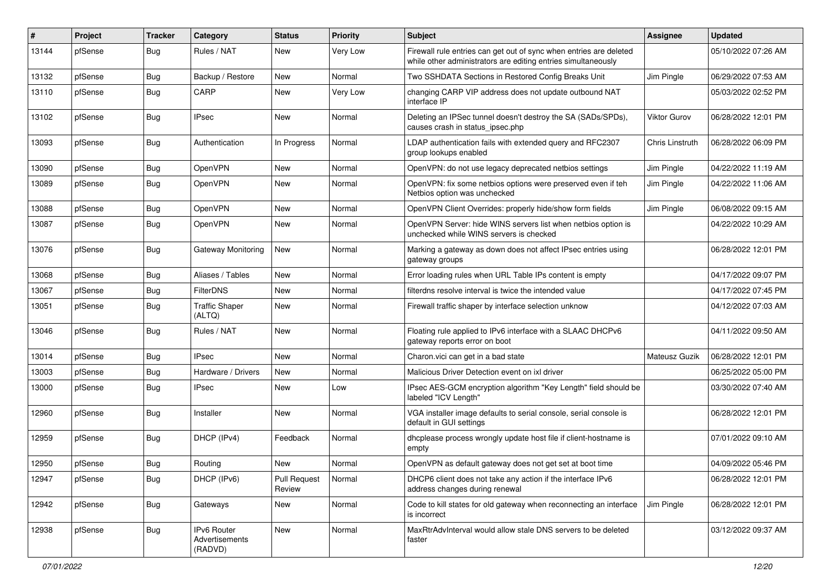| ∦     | Project | <b>Tracker</b> | Category                                        | <b>Status</b>                 | <b>Priority</b> | <b>Subject</b>                                                                                                                      | Assignee            | <b>Updated</b>      |
|-------|---------|----------------|-------------------------------------------------|-------------------------------|-----------------|-------------------------------------------------------------------------------------------------------------------------------------|---------------------|---------------------|
| 13144 | pfSense | Bug            | Rules / NAT                                     | New                           | Very Low        | Firewall rule entries can get out of sync when entries are deleted<br>while other administrators are editing entries simultaneously |                     | 05/10/2022 07:26 AM |
| 13132 | pfSense | Bug            | Backup / Restore                                | New                           | Normal          | Two SSHDATA Sections in Restored Config Breaks Unit                                                                                 | Jim Pingle          | 06/29/2022 07:53 AM |
| 13110 | pfSense | Bug            | CARP                                            | New                           | Very Low        | changing CARP VIP address does not update outbound NAT<br>interface IP                                                              |                     | 05/03/2022 02:52 PM |
| 13102 | pfSense | Bug            | <b>IPsec</b>                                    | New                           | Normal          | Deleting an IPSec tunnel doesn't destroy the SA (SADs/SPDs),<br>causes crash in status_ipsec.php                                    | <b>Viktor Gurov</b> | 06/28/2022 12:01 PM |
| 13093 | pfSense | Bug            | Authentication                                  | In Progress                   | Normal          | LDAP authentication fails with extended query and RFC2307<br>group lookups enabled                                                  | Chris Linstruth     | 06/28/2022 06:09 PM |
| 13090 | pfSense | Bug            | <b>OpenVPN</b>                                  | New                           | Normal          | OpenVPN: do not use legacy deprecated netbios settings                                                                              | Jim Pingle          | 04/22/2022 11:19 AM |
| 13089 | pfSense | Bug            | OpenVPN                                         | New                           | Normal          | OpenVPN: fix some netbios options were preserved even if teh<br>Netbios option was unchecked                                        | Jim Pingle          | 04/22/2022 11:06 AM |
| 13088 | pfSense | Bug            | OpenVPN                                         | <b>New</b>                    | Normal          | OpenVPN Client Overrides: properly hide/show form fields                                                                            | Jim Pingle          | 06/08/2022 09:15 AM |
| 13087 | pfSense | Bug            | OpenVPN                                         | New                           | Normal          | OpenVPN Server: hide WINS servers list when netbios option is<br>unchecked while WINS servers is checked                            |                     | 04/22/2022 10:29 AM |
| 13076 | pfSense | Bug            | <b>Gateway Monitoring</b>                       | New                           | Normal          | Marking a gateway as down does not affect IPsec entries using<br>gateway groups                                                     |                     | 06/28/2022 12:01 PM |
| 13068 | pfSense | Bug            | Aliases / Tables                                | New                           | Normal          | Error loading rules when URL Table IPs content is empty                                                                             |                     | 04/17/2022 09:07 PM |
| 13067 | pfSense | Bug            | <b>FilterDNS</b>                                | <b>New</b>                    | Normal          | filterdns resolve interval is twice the intended value                                                                              |                     | 04/17/2022 07:45 PM |
| 13051 | pfSense | Bug            | <b>Traffic Shaper</b><br>(ALTQ)                 | New                           | Normal          | Firewall traffic shaper by interface selection unknow                                                                               |                     | 04/12/2022 07:03 AM |
| 13046 | pfSense | Bug            | Rules / NAT                                     | New                           | Normal          | Floating rule applied to IPv6 interface with a SLAAC DHCPv6<br>gateway reports error on boot                                        |                     | 04/11/2022 09:50 AM |
| 13014 | pfSense | Bug            | <b>IPsec</b>                                    | New                           | Normal          | Charon.vici can get in a bad state                                                                                                  | Mateusz Guzik       | 06/28/2022 12:01 PM |
| 13003 | pfSense | Bug            | Hardware / Drivers                              | New                           | Normal          | Malicious Driver Detection event on ixl driver                                                                                      |                     | 06/25/2022 05:00 PM |
| 13000 | pfSense | <b>Bug</b>     | <b>IPsec</b>                                    | New                           | Low             | IPsec AES-GCM encryption algorithm "Key Length" field should be<br>labeled "ICV Length"                                             |                     | 03/30/2022 07:40 AM |
| 12960 | pfSense | Bug            | Installer                                       | New                           | Normal          | VGA installer image defaults to serial console, serial console is<br>default in GUI settings                                        |                     | 06/28/2022 12:01 PM |
| 12959 | pfSense | <b>Bug</b>     | DHCP (IPv4)                                     | Feedback                      | Normal          | dhcplease process wrongly update host file if client-hostname is<br>empty                                                           |                     | 07/01/2022 09:10 AM |
| 12950 | pfSense | Bug            | Routing                                         | New                           | Normal          | OpenVPN as default gateway does not get set at boot time                                                                            |                     | 04/09/2022 05:46 PM |
| 12947 | pfSense | <b>Bug</b>     | DHCP (IPv6)                                     | <b>Pull Request</b><br>Review | Normal          | DHCP6 client does not take any action if the interface IPv6<br>address changes during renewal                                       |                     | 06/28/2022 12:01 PM |
| 12942 | pfSense | <b>Bug</b>     | Gateways                                        | New                           | Normal          | Code to kill states for old gateway when reconnecting an interface<br>is incorrect                                                  | Jim Pingle          | 06/28/2022 12:01 PM |
| 12938 | pfSense | <b>Bug</b>     | <b>IPv6 Router</b><br>Advertisements<br>(RADVD) | <b>New</b>                    | Normal          | MaxRtrAdvInterval would allow stale DNS servers to be deleted<br>faster                                                             |                     | 03/12/2022 09:37 AM |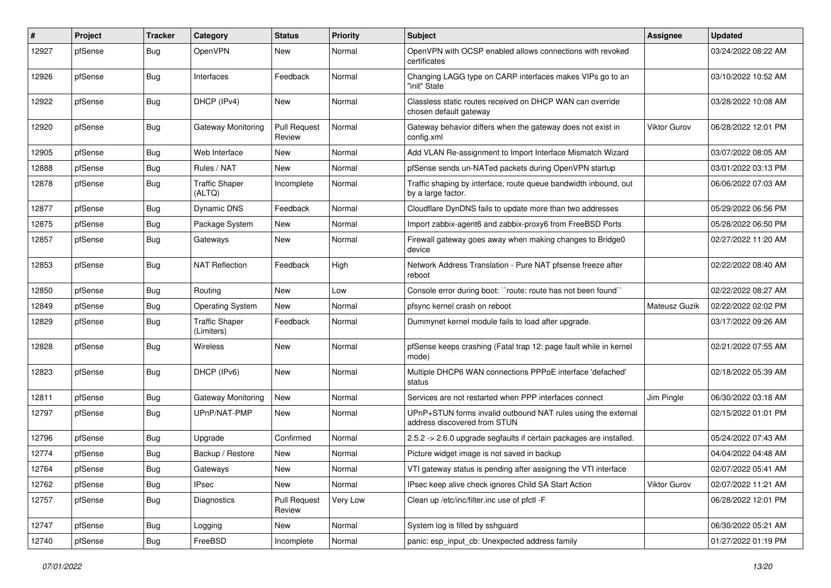| #     | Project | <b>Tracker</b> | Category                            | <b>Status</b>                 | <b>Priority</b> | Subject                                                                                       | Assignee            | <b>Updated</b>      |
|-------|---------|----------------|-------------------------------------|-------------------------------|-----------------|-----------------------------------------------------------------------------------------------|---------------------|---------------------|
| 12927 | pfSense | Bug            | OpenVPN                             | New                           | Normal          | OpenVPN with OCSP enabled allows connections with revoked<br>certificates                     |                     | 03/24/2022 08:22 AM |
| 12926 | pfSense | <b>Bug</b>     | Interfaces                          | Feedback                      | Normal          | Changing LAGG type on CARP interfaces makes VIPs go to an<br>"init" State                     |                     | 03/10/2022 10:52 AM |
| 12922 | pfSense | Bug            | DHCP (IPv4)                         | New                           | Normal          | Classless static routes received on DHCP WAN can override<br>chosen default gateway           |                     | 03/28/2022 10:08 AM |
| 12920 | pfSense | Bug            | Gateway Monitoring                  | <b>Pull Request</b><br>Review | Normal          | Gateway behavior differs when the gateway does not exist in<br>config.xml                     | <b>Viktor Gurov</b> | 06/28/2022 12:01 PM |
| 12905 | pfSense | Bug            | Web Interface                       | New                           | Normal          | Add VLAN Re-assignment to Import Interface Mismatch Wizard                                    |                     | 03/07/2022 08:05 AM |
| 12888 | pfSense | <b>Bug</b>     | Rules / NAT                         | New                           | Normal          | pfSense sends un-NATed packets during OpenVPN startup                                         |                     | 03/01/2022 03:13 PM |
| 12878 | pfSense | <b>Bug</b>     | Traffic Shaper<br>(ALTQ)            | Incomplete                    | Normal          | Traffic shaping by interface, route queue bandwidth inbound, out<br>by a large factor.        |                     | 06/06/2022 07:03 AM |
| 12877 | pfSense | Bug            | <b>Dynamic DNS</b>                  | Feedback                      | Normal          | Cloudflare DynDNS fails to update more than two addresses                                     |                     | 05/29/2022 06:56 PM |
| 12875 | pfSense | <b>Bug</b>     | Package System                      | New                           | Normal          | Import zabbix-agent6 and zabbix-proxy6 from FreeBSD Ports                                     |                     | 05/28/2022 06:50 PM |
| 12857 | pfSense | Bug            | Gateways                            | New                           | Normal          | Firewall gateway goes away when making changes to Bridge0<br>device                           |                     | 02/27/2022 11:20 AM |
| 12853 | pfSense | <b>Bug</b>     | <b>NAT Reflection</b>               | Feedback                      | High            | Network Address Translation - Pure NAT pfsense freeze after<br>reboot                         |                     | 02/22/2022 08:40 AM |
| 12850 | pfSense | <b>Bug</b>     | Routing                             | New                           | Low             | Console error during boot: "route: route has not been found"                                  |                     | 02/22/2022 08:27 AM |
| 12849 | pfSense | <b>Bug</b>     | <b>Operating System</b>             | New                           | Normal          | pfsync kernel crash on reboot                                                                 | Mateusz Guzik       | 02/22/2022 02:02 PM |
| 12829 | pfSense | Bug            | <b>Traffic Shaper</b><br>(Limiters) | Feedback                      | Normal          | Dummynet kernel module fails to load after upgrade.                                           |                     | 03/17/2022 09:26 AM |
| 12828 | pfSense | Bug            | <b>Wireless</b>                     | New                           | Normal          | pfSense keeps crashing (Fatal trap 12: page fault while in kernel<br>mode)                    |                     | 02/21/2022 07:55 AM |
| 12823 | pfSense | <b>Bug</b>     | DHCP (IPv6)                         | New                           | Normal          | Multiple DHCP6 WAN connections PPPoE interface 'defached'<br>status                           |                     | 02/18/2022 05:39 AM |
| 12811 | pfSense | <b>Bug</b>     | <b>Gateway Monitoring</b>           | <b>New</b>                    | Normal          | Services are not restarted when PPP interfaces connect                                        | Jim Pingle          | 06/30/2022 03:18 AM |
| 12797 | pfSense | <b>Bug</b>     | UPnP/NAT-PMP                        | New                           | Normal          | UPnP+STUN forms invalid outbound NAT rules using the external<br>address discovered from STUN |                     | 02/15/2022 01:01 PM |
| 12796 | pfSense | <b>Bug</b>     | Upgrade                             | Confirmed                     | Normal          | 2.5.2 -> 2.6.0 upgrade segfaults if certain packages are installed.                           |                     | 05/24/2022 07:43 AM |
| 12774 | pfSense | <b>Bug</b>     | Backup / Restore                    | New                           | Normal          | Picture widget image is not saved in backup                                                   |                     | 04/04/2022 04:48 AM |
| 12764 | pfSense | i Bug          | Gateways                            | New                           | Normal          | VTI gateway status is pending after assigning the VTI interface                               |                     | 02/07/2022 05:41 AM |
| 12762 | pfSense | <b>Bug</b>     | IPsec                               | New                           | Normal          | IPsec keep alive check ignores Child SA Start Action                                          | Viktor Gurov        | 02/07/2022 11:21 AM |
| 12757 | pfSense | <b>Bug</b>     | Diagnostics                         | <b>Pull Request</b><br>Review | Very Low        | Clean up /etc/inc/filter.inc use of pfctl -F                                                  |                     | 06/28/2022 12:01 PM |
| 12747 | pfSense | <b>Bug</b>     | Logging                             | New                           | Normal          | System log is filled by sshguard                                                              |                     | 06/30/2022 05:21 AM |
| 12740 | pfSense | <b>Bug</b>     | FreeBSD                             | Incomplete                    | Normal          | panic: esp_input_cb: Unexpected address family                                                |                     | 01/27/2022 01:19 PM |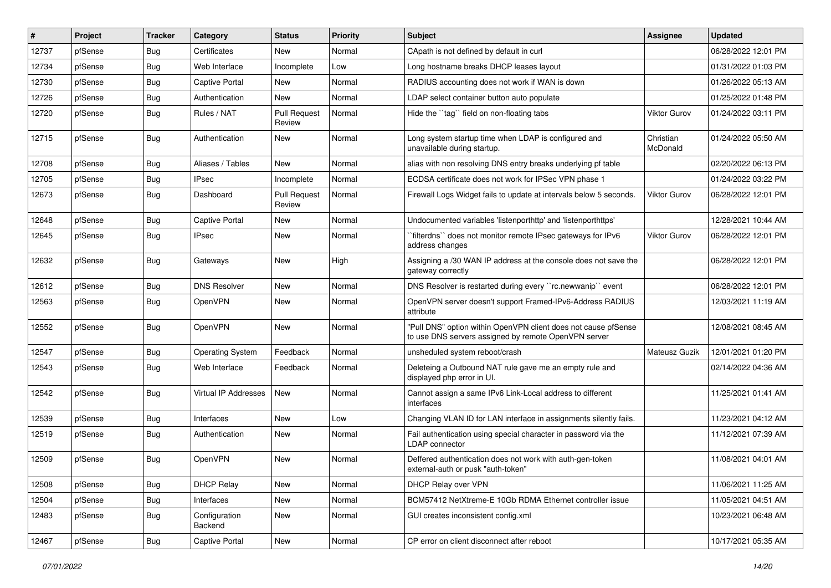| #     | Project | Tracker    | Category                 | <b>Status</b>                 | <b>Priority</b> | <b>Subject</b>                                                                                                         | <b>Assignee</b>       | <b>Updated</b>      |
|-------|---------|------------|--------------------------|-------------------------------|-----------------|------------------------------------------------------------------------------------------------------------------------|-----------------------|---------------------|
| 12737 | pfSense | <b>Bug</b> | Certificates             | New                           | Normal          | CApath is not defined by default in curl                                                                               |                       | 06/28/2022 12:01 PM |
| 12734 | pfSense | <b>Bug</b> | Web Interface            | Incomplete                    | Low             | Long hostname breaks DHCP leases layout                                                                                |                       | 01/31/2022 01:03 PM |
| 12730 | pfSense | <b>Bug</b> | <b>Captive Portal</b>    | New                           | Normal          | RADIUS accounting does not work if WAN is down                                                                         |                       | 01/26/2022 05:13 AM |
| 12726 | pfSense | Bug        | Authentication           | New                           | Normal          | LDAP select container button auto populate                                                                             |                       | 01/25/2022 01:48 PM |
| 12720 | pfSense | Bug        | Rules / NAT              | <b>Pull Request</b><br>Review | Normal          | Hide the "tag" field on non-floating tabs                                                                              | <b>Viktor Gurov</b>   | 01/24/2022 03:11 PM |
| 12715 | pfSense | Bug        | Authentication           | New                           | Normal          | Long system startup time when LDAP is configured and<br>unavailable during startup.                                    | Christian<br>McDonald | 01/24/2022 05:50 AM |
| 12708 | pfSense | Bug        | Aliases / Tables         | New                           | Normal          | alias with non resolving DNS entry breaks underlying pf table                                                          |                       | 02/20/2022 06:13 PM |
| 12705 | pfSense | <b>Bug</b> | <b>IPsec</b>             | Incomplete                    | Normal          | ECDSA certificate does not work for IPSec VPN phase 1                                                                  |                       | 01/24/2022 03:22 PM |
| 12673 | pfSense | <b>Bug</b> | Dashboard                | <b>Pull Request</b><br>Review | Normal          | Firewall Logs Widget fails to update at intervals below 5 seconds.                                                     | <b>Viktor Gurov</b>   | 06/28/2022 12:01 PM |
| 12648 | pfSense | Bug        | <b>Captive Portal</b>    | New                           | Normal          | Undocumented variables 'listenporthttp' and 'listenporthttps'                                                          |                       | 12/28/2021 10:44 AM |
| 12645 | pfSense | <b>Bug</b> | <b>IPsec</b>             | New                           | Normal          | `filterdns`` does not monitor remote IPsec gateways for IPv6<br>address changes                                        | <b>Viktor Gurov</b>   | 06/28/2022 12:01 PM |
| 12632 | pfSense | <b>Bug</b> | Gateways                 | New                           | High            | Assigning a /30 WAN IP address at the console does not save the<br>gateway correctly                                   |                       | 06/28/2022 12:01 PM |
| 12612 | pfSense | <b>Bug</b> | <b>DNS Resolver</b>      | New                           | Normal          | DNS Resolver is restarted during every "rc.newwanip" event                                                             |                       | 06/28/2022 12:01 PM |
| 12563 | pfSense | <b>Bug</b> | <b>OpenVPN</b>           | New                           | Normal          | OpenVPN server doesn't support Framed-IPv6-Address RADIUS<br>attribute                                                 |                       | 12/03/2021 11:19 AM |
| 12552 | pfSense | Bug        | OpenVPN                  | New                           | Normal          | "Pull DNS" option within OpenVPN client does not cause pfSense<br>to use DNS servers assigned by remote OpenVPN server |                       | 12/08/2021 08:45 AM |
| 12547 | pfSense | <b>Bug</b> | <b>Operating System</b>  | Feedback                      | Normal          | unsheduled system reboot/crash                                                                                         | Mateusz Guzik         | 12/01/2021 01:20 PM |
| 12543 | pfSense | <b>Bug</b> | Web Interface            | Feedback                      | Normal          | Deleteing a Outbound NAT rule gave me an empty rule and<br>displayed php error in UI.                                  |                       | 02/14/2022 04:36 AM |
| 12542 | pfSense | <b>Bug</b> | Virtual IP Addresses     | New                           | Normal          | Cannot assign a same IPv6 Link-Local address to different<br>interfaces                                                |                       | 11/25/2021 01:41 AM |
| 12539 | pfSense | <b>Bug</b> | Interfaces               | New                           | Low             | Changing VLAN ID for LAN interface in assignments silently fails.                                                      |                       | 11/23/2021 04:12 AM |
| 12519 | pfSense | <b>Bug</b> | Authentication           | New                           | Normal          | Fail authentication using special character in password via the<br><b>LDAP</b> connector                               |                       | 11/12/2021 07:39 AM |
| 12509 | pfSense | <b>Bug</b> | OpenVPN                  | New                           | Normal          | Deffered authentication does not work with auth-gen-token<br>external-auth or pusk "auth-token"                        |                       | 11/08/2021 04:01 AM |
| 12508 | pfSense | Bug        | <b>DHCP Relay</b>        | New                           | Normal          | DHCP Relay over VPN                                                                                                    |                       | 11/06/2021 11:25 AM |
| 12504 | pfSense | <b>Bug</b> | Interfaces               | New                           | Normal          | BCM57412 NetXtreme-E 10Gb RDMA Ethernet controller issue                                                               |                       | 11/05/2021 04:51 AM |
| 12483 | pfSense | <b>Bug</b> | Configuration<br>Backend | New                           | Normal          | GUI creates inconsistent config.xml                                                                                    |                       | 10/23/2021 06:48 AM |
| 12467 | pfSense | <b>Bug</b> | <b>Captive Portal</b>    | New                           | Normal          | CP error on client disconnect after reboot                                                                             |                       | 10/17/2021 05:35 AM |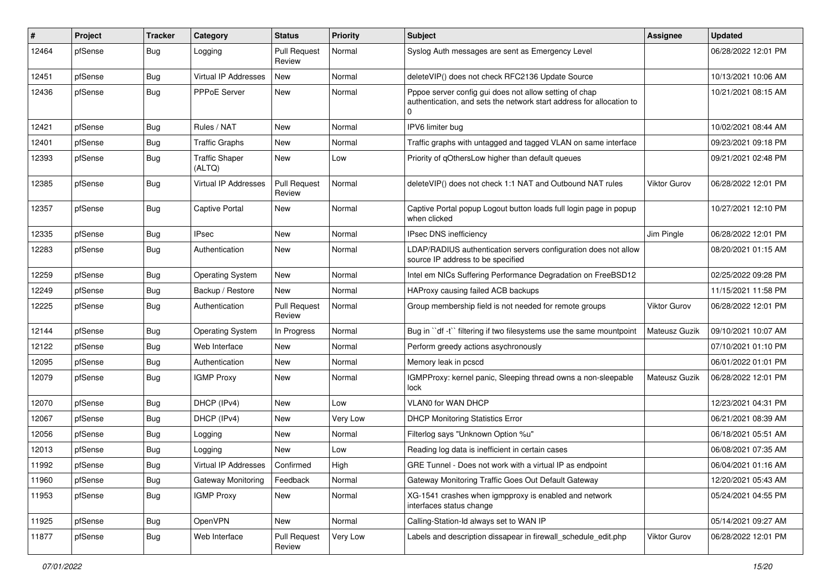| ∦     | Project | <b>Tracker</b> | Category                        | <b>Status</b>                 | <b>Priority</b> | Subject                                                                                                                             | <b>Assignee</b>     | <b>Updated</b>      |
|-------|---------|----------------|---------------------------------|-------------------------------|-----------------|-------------------------------------------------------------------------------------------------------------------------------------|---------------------|---------------------|
| 12464 | pfSense | Bug            | Logging                         | <b>Pull Request</b><br>Review | Normal          | Syslog Auth messages are sent as Emergency Level                                                                                    |                     | 06/28/2022 12:01 PM |
| 12451 | pfSense | <b>Bug</b>     | Virtual IP Addresses            | New                           | Normal          | deleteVIP() does not check RFC2136 Update Source                                                                                    |                     | 10/13/2021 10:06 AM |
| 12436 | pfSense | Bug            | PPPoE Server                    | New                           | Normal          | Pppoe server config gui does not allow setting of chap<br>authentication, and sets the network start address for allocation to<br>0 |                     | 10/21/2021 08:15 AM |
| 12421 | pfSense | Bug            | Rules / NAT                     | New                           | Normal          | IPV6 limiter bug                                                                                                                    |                     | 10/02/2021 08:44 AM |
| 12401 | pfSense | <b>Bug</b>     | <b>Traffic Graphs</b>           | New                           | Normal          | Traffic graphs with untagged and tagged VLAN on same interface                                                                      |                     | 09/23/2021 09:18 PM |
| 12393 | pfSense | <b>Bug</b>     | <b>Traffic Shaper</b><br>(ALTQ) | New                           | Low             | Priority of qOthersLow higher than default queues                                                                                   |                     | 09/21/2021 02:48 PM |
| 12385 | pfSense | Bug            | <b>Virtual IP Addresses</b>     | <b>Pull Request</b><br>Review | Normal          | deleteVIP() does not check 1:1 NAT and Outbound NAT rules                                                                           | <b>Viktor Gurov</b> | 06/28/2022 12:01 PM |
| 12357 | pfSense | <b>Bug</b>     | Captive Portal                  | New                           | Normal          | Captive Portal popup Logout button loads full login page in popup<br>when clicked                                                   |                     | 10/27/2021 12:10 PM |
| 12335 | pfSense | <b>Bug</b>     | <b>IPsec</b>                    | <b>New</b>                    | Normal          | <b>IPsec DNS inefficiency</b>                                                                                                       | Jim Pingle          | 06/28/2022 12:01 PM |
| 12283 | pfSense | <b>Bug</b>     | Authentication                  | New                           | Normal          | LDAP/RADIUS authentication servers configuration does not allow<br>source IP address to be specified                                |                     | 08/20/2021 01:15 AM |
| 12259 | pfSense | <b>Bug</b>     | <b>Operating System</b>         | <b>New</b>                    | Normal          | Intel em NICs Suffering Performance Degradation on FreeBSD12                                                                        |                     | 02/25/2022 09:28 PM |
| 12249 | pfSense | <b>Bug</b>     | Backup / Restore                | New                           | Normal          | HAProxy causing failed ACB backups                                                                                                  |                     | 11/15/2021 11:58 PM |
| 12225 | pfSense | Bug            | Authentication                  | <b>Pull Request</b><br>Review | Normal          | Group membership field is not needed for remote groups                                                                              | <b>Viktor Gurov</b> | 06/28/2022 12:01 PM |
| 12144 | pfSense | <b>Bug</b>     | <b>Operating System</b>         | In Progress                   | Normal          | Bug in "df -t" filtering if two filesystems use the same mountpoint                                                                 | Mateusz Guzik       | 09/10/2021 10:07 AM |
| 12122 | pfSense | <b>Bug</b>     | Web Interface                   | New                           | Normal          | Perform greedy actions asychronously                                                                                                |                     | 07/10/2021 01:10 PM |
| 12095 | pfSense | <b>Bug</b>     | Authentication                  | New                           | Normal          | Memory leak in pcscd                                                                                                                |                     | 06/01/2022 01:01 PM |
| 12079 | pfSense | <b>Bug</b>     | <b>IGMP Proxy</b>               | New                           | Normal          | IGMPProxy: kernel panic, Sleeping thread owns a non-sleepable<br>lock                                                               | Mateusz Guzik       | 06/28/2022 12:01 PM |
| 12070 | pfSense | <b>Bug</b>     | DHCP (IPv4)                     | New                           | Low             | <b>VLAN0 for WAN DHCP</b>                                                                                                           |                     | 12/23/2021 04:31 PM |
| 12067 | pfSense | <b>Bug</b>     | DHCP (IPv4)                     | New                           | Very Low        | <b>DHCP Monitoring Statistics Error</b>                                                                                             |                     | 06/21/2021 08:39 AM |
| 12056 | pfSense | <b>Bug</b>     | Logging                         | New                           | Normal          | Filterlog says "Unknown Option %u"                                                                                                  |                     | 06/18/2021 05:51 AM |
| 12013 | pfSense | <b>Bug</b>     | Logging                         | New                           | Low             | Reading log data is inefficient in certain cases                                                                                    |                     | 06/08/2021 07:35 AM |
| 11992 | pfSense | Bug            | Virtual IP Addresses            | Confirmed                     | High            | GRE Tunnel - Does not work with a virtual IP as endpoint                                                                            |                     | 06/04/2021 01:16 AM |
| 11960 | pfSense | <b>Bug</b>     | Gateway Monitoring              | Feedback                      | Normal          | Gateway Monitoring Traffic Goes Out Default Gateway                                                                                 |                     | 12/20/2021 05:43 AM |
| 11953 | pfSense | <b>Bug</b>     | <b>IGMP Proxy</b>               | New                           | Normal          | XG-1541 crashes when igmpproxy is enabled and network<br>interfaces status change                                                   |                     | 05/24/2021 04:55 PM |
| 11925 | pfSense | <b>Bug</b>     | OpenVPN                         | New                           | Normal          | Calling-Station-Id always set to WAN IP                                                                                             |                     | 05/14/2021 09:27 AM |
| 11877 | pfSense | <b>Bug</b>     | Web Interface                   | <b>Pull Request</b><br>Review | Very Low        | Labels and description dissapear in firewall schedule edit.php                                                                      | Viktor Gurov        | 06/28/2022 12:01 PM |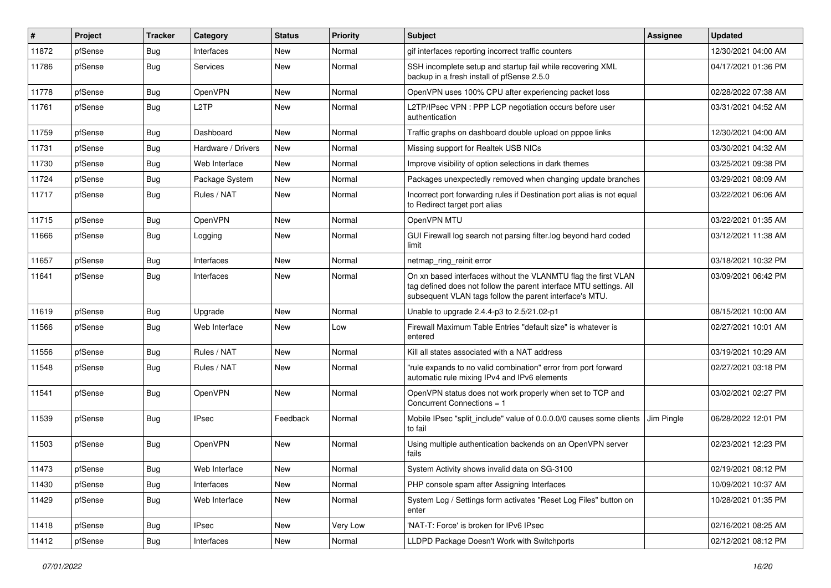| ∦     | Project | <b>Tracker</b> | Category           | <b>Status</b> | Priority | <b>Subject</b>                                                                                                                                                                                  | <b>Assignee</b> | <b>Updated</b>      |
|-------|---------|----------------|--------------------|---------------|----------|-------------------------------------------------------------------------------------------------------------------------------------------------------------------------------------------------|-----------------|---------------------|
| 11872 | pfSense | <b>Bug</b>     | Interfaces         | New           | Normal   | gif interfaces reporting incorrect traffic counters                                                                                                                                             |                 | 12/30/2021 04:00 AM |
| 11786 | pfSense | Bug            | <b>Services</b>    | New           | Normal   | SSH incomplete setup and startup fail while recovering XML<br>backup in a fresh install of pfSense 2.5.0                                                                                        |                 | 04/17/2021 01:36 PM |
| 11778 | pfSense | <b>Bug</b>     | OpenVPN            | New           | Normal   | OpenVPN uses 100% CPU after experiencing packet loss                                                                                                                                            |                 | 02/28/2022 07:38 AM |
| 11761 | pfSense | Bug            | L <sub>2</sub> TP  | New           | Normal   | L2TP/IPsec VPN : PPP LCP negotiation occurs before user<br>authentication                                                                                                                       |                 | 03/31/2021 04:52 AM |
| 11759 | pfSense | <b>Bug</b>     | Dashboard          | New           | Normal   | Traffic graphs on dashboard double upload on pppoe links                                                                                                                                        |                 | 12/30/2021 04:00 AM |
| 11731 | pfSense | Bug            | Hardware / Drivers | <b>New</b>    | Normal   | Missing support for Realtek USB NICs                                                                                                                                                            |                 | 03/30/2021 04:32 AM |
| 11730 | pfSense | Bug            | Web Interface      | New           | Normal   | Improve visibility of option selections in dark themes                                                                                                                                          |                 | 03/25/2021 09:38 PM |
| 11724 | pfSense | Bug            | Package System     | New           | Normal   | Packages unexpectedly removed when changing update branches                                                                                                                                     |                 | 03/29/2021 08:09 AM |
| 11717 | pfSense | Bug            | Rules / NAT        | New           | Normal   | Incorrect port forwarding rules if Destination port alias is not equal<br>to Redirect target port alias                                                                                         |                 | 03/22/2021 06:06 AM |
| 11715 | pfSense | Bug            | OpenVPN            | <b>New</b>    | Normal   | OpenVPN MTU                                                                                                                                                                                     |                 | 03/22/2021 01:35 AM |
| 11666 | pfSense | Bug            | Logging            | New           | Normal   | GUI Firewall log search not parsing filter.log beyond hard coded<br>limit                                                                                                                       |                 | 03/12/2021 11:38 AM |
| 11657 | pfSense | Bug            | Interfaces         | <b>New</b>    | Normal   | netmap_ring_reinit error                                                                                                                                                                        |                 | 03/18/2021 10:32 PM |
| 11641 | pfSense | Bug            | Interfaces         | New           | Normal   | On xn based interfaces without the VLANMTU flag the first VLAN<br>tag defined does not follow the parent interface MTU settings. All<br>subsequent VLAN tags follow the parent interface's MTU. |                 | 03/09/2021 06:42 PM |
| 11619 | pfSense | <b>Bug</b>     | Upgrade            | <b>New</b>    | Normal   | Unable to upgrade 2.4.4-p3 to 2.5/21.02-p1                                                                                                                                                      |                 | 08/15/2021 10:00 AM |
| 11566 | pfSense | Bug            | Web Interface      | New           | Low      | Firewall Maximum Table Entries "default size" is whatever is<br>entered                                                                                                                         |                 | 02/27/2021 10:01 AM |
| 11556 | pfSense | Bug            | Rules / NAT        | New           | Normal   | Kill all states associated with a NAT address                                                                                                                                                   |                 | 03/19/2021 10:29 AM |
| 11548 | pfSense | <b>Bug</b>     | Rules / NAT        | New           | Normal   | "rule expands to no valid combination" error from port forward<br>automatic rule mixing IPv4 and IPv6 elements                                                                                  |                 | 02/27/2021 03:18 PM |
| 11541 | pfSense | Bug            | <b>OpenVPN</b>     | New           | Normal   | OpenVPN status does not work properly when set to TCP and<br>Concurrent Connections = 1                                                                                                         |                 | 03/02/2021 02:27 PM |
| 11539 | pfSense | Bug            | <b>IPsec</b>       | Feedback      | Normal   | Mobile IPsec "split include" value of 0.0.0.0/0 causes some clients<br>to fail                                                                                                                  | Jim Pingle      | 06/28/2022 12:01 PM |
| 11503 | pfSense | Bug            | <b>OpenVPN</b>     | New           | Normal   | Using multiple authentication backends on an OpenVPN server<br>fails                                                                                                                            |                 | 02/23/2021 12:23 PM |
| 11473 | pfSense | Bug            | Web Interface      | New           | Normal   | System Activity shows invalid data on SG-3100                                                                                                                                                   |                 | 02/19/2021 08:12 PM |
| 11430 | pfSense | <b>Bug</b>     | Interfaces         | New           | Normal   | PHP console spam after Assigning Interfaces                                                                                                                                                     |                 | 10/09/2021 10:37 AM |
| 11429 | pfSense | Bug            | Web Interface      | New           | Normal   | System Log / Settings form activates "Reset Log Files" button on<br>enter                                                                                                                       |                 | 10/28/2021 01:35 PM |
| 11418 | pfSense | <b>Bug</b>     | <b>IPsec</b>       | New           | Very Low | 'NAT-T: Force' is broken for IPv6 IPsec                                                                                                                                                         |                 | 02/16/2021 08:25 AM |
| 11412 | pfSense | <b>Bug</b>     | Interfaces         | New           | Normal   | LLDPD Package Doesn't Work with Switchports                                                                                                                                                     |                 | 02/12/2021 08:12 PM |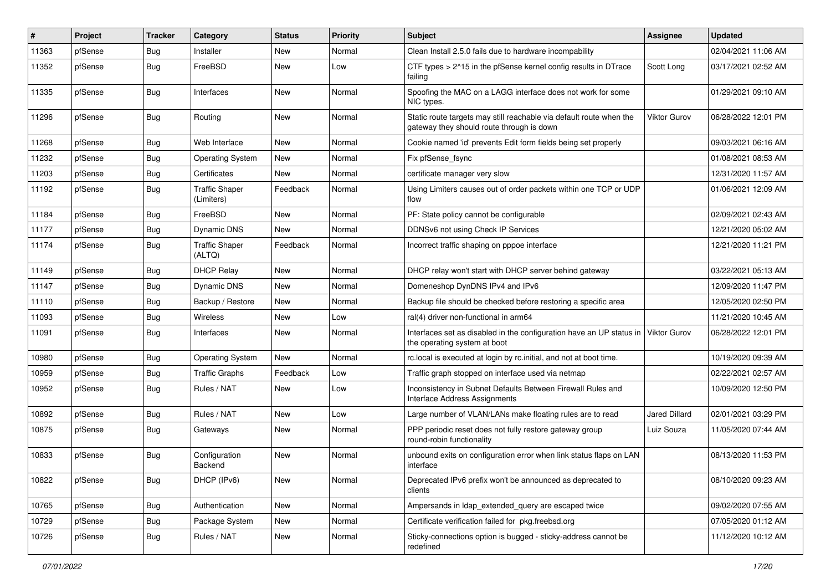| $\vert$ # | Project | <b>Tracker</b> | Category                            | <b>Status</b> | Priority | <b>Subject</b>                                                                                                   | <b>Assignee</b>      | <b>Updated</b>      |
|-----------|---------|----------------|-------------------------------------|---------------|----------|------------------------------------------------------------------------------------------------------------------|----------------------|---------------------|
| 11363     | pfSense | Bug            | Installer                           | New           | Normal   | Clean Install 2.5.0 fails due to hardware incompability                                                          |                      | 02/04/2021 11:06 AM |
| 11352     | pfSense | Bug            | FreeBSD                             | New           | Low      | CTF types > 2^15 in the pfSense kernel config results in DTrace<br>failing                                       | Scott Long           | 03/17/2021 02:52 AM |
| 11335     | pfSense | Bug            | Interfaces                          | <b>New</b>    | Normal   | Spoofing the MAC on a LAGG interface does not work for some<br>NIC types.                                        |                      | 01/29/2021 09:10 AM |
| 11296     | pfSense | Bug            | Routing                             | <b>New</b>    | Normal   | Static route targets may still reachable via default route when the<br>gateway they should route through is down | Viktor Gurov         | 06/28/2022 12:01 PM |
| 11268     | pfSense | Bug            | Web Interface                       | <b>New</b>    | Normal   | Cookie named 'id' prevents Edit form fields being set properly                                                   |                      | 09/03/2021 06:16 AM |
| 11232     | pfSense | <b>Bug</b>     | <b>Operating System</b>             | New           | Normal   | Fix pfSense fsync                                                                                                |                      | 01/08/2021 08:53 AM |
| 11203     | pfSense | Bug            | Certificates                        | <b>New</b>    | Normal   | certificate manager very slow                                                                                    |                      | 12/31/2020 11:57 AM |
| 11192     | pfSense | Bug            | <b>Traffic Shaper</b><br>(Limiters) | Feedback      | Normal   | Using Limiters causes out of order packets within one TCP or UDP<br>flow                                         |                      | 01/06/2021 12:09 AM |
| 11184     | pfSense | Bug            | FreeBSD                             | <b>New</b>    | Normal   | PF: State policy cannot be configurable                                                                          |                      | 02/09/2021 02:43 AM |
| 11177     | pfSense | Bug            | <b>Dynamic DNS</b>                  | New           | Normal   | DDNSv6 not using Check IP Services                                                                               |                      | 12/21/2020 05:02 AM |
| 11174     | pfSense | <b>Bug</b>     | <b>Traffic Shaper</b><br>(ALTQ)     | Feedback      | Normal   | Incorrect traffic shaping on pppoe interface                                                                     |                      | 12/21/2020 11:21 PM |
| 11149     | pfSense | Bug            | <b>DHCP Relay</b>                   | New           | Normal   | DHCP relay won't start with DHCP server behind gateway                                                           |                      | 03/22/2021 05:13 AM |
| 11147     | pfSense | Bug            | <b>Dynamic DNS</b>                  | New           | Normal   | Domeneshop DynDNS IPv4 and IPv6                                                                                  |                      | 12/09/2020 11:47 PM |
| 11110     | pfSense | <b>Bug</b>     | Backup / Restore                    | New           | Normal   | Backup file should be checked before restoring a specific area                                                   |                      | 12/05/2020 02:50 PM |
| 11093     | pfSense | <b>Bug</b>     | <b>Wireless</b>                     | New           | Low      | ral(4) driver non-functional in arm64                                                                            |                      | 11/21/2020 10:45 AM |
| 11091     | pfSense | Bug            | Interfaces                          | New           | Normal   | Interfaces set as disabled in the configuration have an UP status in<br>the operating system at boot             | <b>Viktor Gurov</b>  | 06/28/2022 12:01 PM |
| 10980     | pfSense | Bug            | <b>Operating System</b>             | New           | Normal   | rc.local is executed at login by rc.initial, and not at boot time.                                               |                      | 10/19/2020 09:39 AM |
| 10959     | pfSense | Bug            | <b>Traffic Graphs</b>               | Feedback      | Low      | Traffic graph stopped on interface used via netmap                                                               |                      | 02/22/2021 02:57 AM |
| 10952     | pfSense | Bug            | Rules / NAT                         | New           | Low      | Inconsistency in Subnet Defaults Between Firewall Rules and<br>Interface Address Assignments                     |                      | 10/09/2020 12:50 PM |
| 10892     | pfSense | Bug            | Rules / NAT                         | New           | Low      | Large number of VLAN/LANs make floating rules are to read                                                        | <b>Jared Dillard</b> | 02/01/2021 03:29 PM |
| 10875     | pfSense | Bug            | Gateways                            | <b>New</b>    | Normal   | PPP periodic reset does not fully restore gateway group<br>round-robin functionality                             | Luiz Souza           | 11/05/2020 07:44 AM |
| 10833     | pfSense | Bug            | Configuration<br>Backend            | <b>New</b>    | Normal   | unbound exits on configuration error when link status flaps on LAN<br>interface                                  |                      | 08/13/2020 11:53 PM |
| 10822     | pfSense | Bug            | DHCP (IPv6)                         | New           | Normal   | Deprecated IPv6 prefix won't be announced as deprecated to<br>clients                                            |                      | 08/10/2020 09:23 AM |
| 10765     | pfSense | Bug            | Authentication                      | New           | Normal   | Ampersands in Idap_extended_query are escaped twice                                                              |                      | 09/02/2020 07:55 AM |
| 10729     | pfSense | <b>Bug</b>     | Package System                      | New           | Normal   | Certificate verification failed for pkg.freebsd.org                                                              |                      | 07/05/2020 01:12 AM |
| 10726     | pfSense | Bug            | Rules / NAT                         | New           | Normal   | Sticky-connections option is bugged - sticky-address cannot be<br>redefined                                      |                      | 11/12/2020 10:12 AM |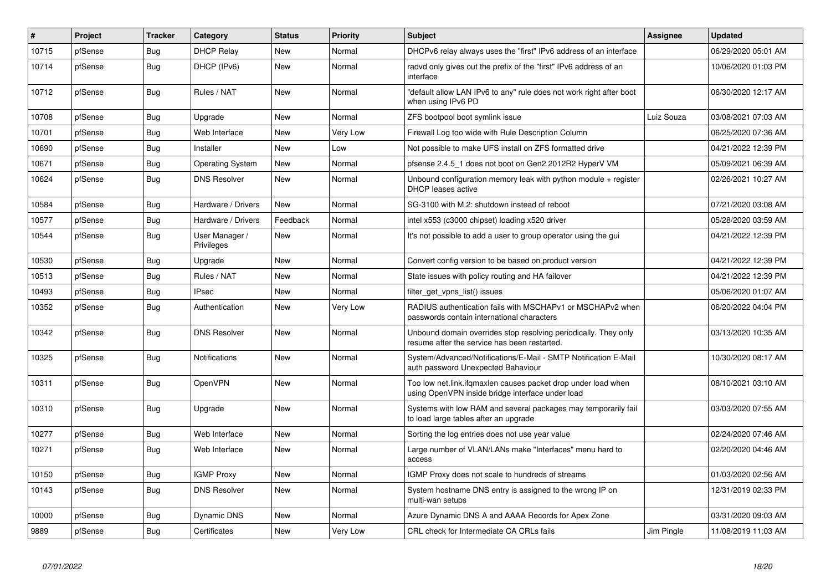| $\vert$ # | Project | <b>Tracker</b> | Category                     | <b>Status</b> | <b>Priority</b> | <b>Subject</b>                                                                                                    | <b>Assignee</b> | <b>Updated</b>      |
|-----------|---------|----------------|------------------------------|---------------|-----------------|-------------------------------------------------------------------------------------------------------------------|-----------------|---------------------|
| 10715     | pfSense | Bug            | <b>DHCP Relay</b>            | New           | Normal          | DHCPv6 relay always uses the "first" IPv6 address of an interface                                                 |                 | 06/29/2020 05:01 AM |
| 10714     | pfSense | <b>Bug</b>     | DHCP (IPv6)                  | New           | Normal          | radvd only gives out the prefix of the "first" IPv6 address of an<br>interface                                    |                 | 10/06/2020 01:03 PM |
| 10712     | pfSense | <b>Bug</b>     | Rules / NAT                  | <b>New</b>    | Normal          | "default allow LAN IPv6 to any" rule does not work right after boot<br>when using IPv6 PD                         |                 | 06/30/2020 12:17 AM |
| 10708     | pfSense | <b>Bug</b>     | Upgrade                      | New           | Normal          | ZFS bootpool boot symlink issue                                                                                   | Luiz Souza      | 03/08/2021 07:03 AM |
| 10701     | pfSense | <b>Bug</b>     | Web Interface                | <b>New</b>    | Very Low        | Firewall Log too wide with Rule Description Column                                                                |                 | 06/25/2020 07:36 AM |
| 10690     | pfSense | <b>Bug</b>     | Installer                    | New           | Low             | Not possible to make UFS install on ZFS formatted drive                                                           |                 | 04/21/2022 12:39 PM |
| 10671     | pfSense | Bug            | Operating System             | New           | Normal          | pfsense 2.4.5_1 does not boot on Gen2 2012R2 HyperV VM                                                            |                 | 05/09/2021 06:39 AM |
| 10624     | pfSense | <b>Bug</b>     | <b>DNS Resolver</b>          | <b>New</b>    | Normal          | Unbound configuration memory leak with python module + register<br><b>DHCP</b> leases active                      |                 | 02/26/2021 10:27 AM |
| 10584     | pfSense | Bug            | Hardware / Drivers           | <b>New</b>    | Normal          | SG-3100 with M.2: shutdown instead of reboot                                                                      |                 | 07/21/2020 03:08 AM |
| 10577     | pfSense | <b>Bug</b>     | Hardware / Drivers           | Feedback      | Normal          | intel x553 (c3000 chipset) loading x520 driver                                                                    |                 | 05/28/2020 03:59 AM |
| 10544     | pfSense | <b>Bug</b>     | User Manager /<br>Privileges | New           | Normal          | It's not possible to add a user to group operator using the gui                                                   |                 | 04/21/2022 12:39 PM |
| 10530     | pfSense | Bug            | Upgrade                      | <b>New</b>    | Normal          | Convert config version to be based on product version                                                             |                 | 04/21/2022 12:39 PM |
| 10513     | pfSense | <b>Bug</b>     | Rules / NAT                  | <b>New</b>    | Normal          | State issues with policy routing and HA failover                                                                  |                 | 04/21/2022 12:39 PM |
| 10493     | pfSense | <b>Bug</b>     | <b>IPsec</b>                 | <b>New</b>    | Normal          | filter_get_vpns_list() issues                                                                                     |                 | 05/06/2020 01:07 AM |
| 10352     | pfSense | Bug            | Authentication               | New           | Very Low        | RADIUS authentication fails with MSCHAPv1 or MSCHAPv2 when<br>passwords contain international characters          |                 | 06/20/2022 04:04 PM |
| 10342     | pfSense | <b>Bug</b>     | <b>DNS Resolver</b>          | <b>New</b>    | Normal          | Unbound domain overrides stop resolving periodically. They only<br>resume after the service has been restarted.   |                 | 03/13/2020 10:35 AM |
| 10325     | pfSense | Bug            | <b>Notifications</b>         | <b>New</b>    | Normal          | System/Advanced/Notifications/E-Mail - SMTP Notification E-Mail<br>auth password Unexpected Bahaviour             |                 | 10/30/2020 08:17 AM |
| 10311     | pfSense | Bug            | OpenVPN                      | New           | Normal          | Too low net.link.ifgmaxlen causes packet drop under load when<br>using OpenVPN inside bridge interface under load |                 | 08/10/2021 03:10 AM |
| 10310     | pfSense | Bug            | Upgrade                      | New           | Normal          | Systems with low RAM and several packages may temporarily fail<br>to load large tables after an upgrade           |                 | 03/03/2020 07:55 AM |
| 10277     | pfSense | Bug            | Web Interface                | New           | Normal          | Sorting the log entries does not use year value                                                                   |                 | 02/24/2020 07:46 AM |
| 10271     | pfSense | Bug            | Web Interface                | New           | Normal          | Large number of VLAN/LANs make "Interfaces" menu hard to<br>access                                                |                 | 02/20/2020 04:46 AM |
| 10150     | pfSense | Bug            | <b>IGMP Proxy</b>            | New           | Normal          | IGMP Proxy does not scale to hundreds of streams                                                                  |                 | 01/03/2020 02:56 AM |
| 10143     | pfSense | <b>Bug</b>     | <b>DNS Resolver</b>          | New           | Normal          | System hostname DNS entry is assigned to the wrong IP on<br>multi-wan setups                                      |                 | 12/31/2019 02:33 PM |
| 10000     | pfSense | Bug            | Dynamic DNS                  | New           | Normal          | Azure Dynamic DNS A and AAAA Records for Apex Zone                                                                |                 | 03/31/2020 09:03 AM |
| 9889      | pfSense | <b>Bug</b>     | Certificates                 | New           | Very Low        | CRL check for Intermediate CA CRLs fails                                                                          | Jim Pingle      | 11/08/2019 11:03 AM |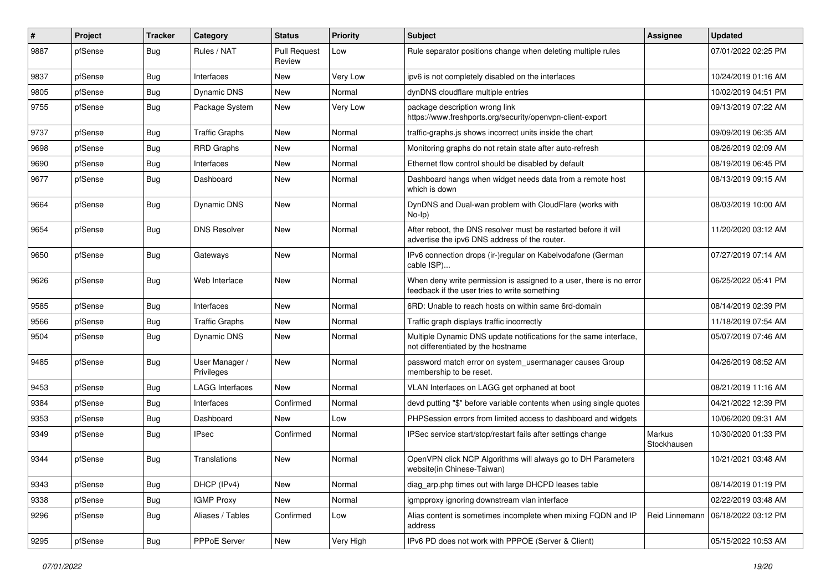| $\#$ | Project | <b>Tracker</b> | Category                     | <b>Status</b>                 | <b>Priority</b> | <b>Subject</b>                                                                                                       | <b>Assignee</b>       | <b>Updated</b>      |
|------|---------|----------------|------------------------------|-------------------------------|-----------------|----------------------------------------------------------------------------------------------------------------------|-----------------------|---------------------|
| 9887 | pfSense | Bug            | Rules / NAT                  | <b>Pull Request</b><br>Review | Low             | Rule separator positions change when deleting multiple rules                                                         |                       | 07/01/2022 02:25 PM |
| 9837 | pfSense | <b>Bug</b>     | Interfaces                   | New                           | Very Low        | ipv6 is not completely disabled on the interfaces                                                                    |                       | 10/24/2019 01:16 AM |
| 9805 | pfSense | <b>Bug</b>     | <b>Dynamic DNS</b>           | New                           | Normal          | dynDNS cloudflare multiple entries                                                                                   |                       | 10/02/2019 04:51 PM |
| 9755 | pfSense | <b>Bug</b>     | Package System               | New                           | Very Low        | package description wrong link<br>https://www.freshports.org/security/openvpn-client-export                          |                       | 09/13/2019 07:22 AM |
| 9737 | pfSense | Bug            | <b>Traffic Graphs</b>        | New                           | Normal          | traffic-graphs.js shows incorrect units inside the chart                                                             |                       | 09/09/2019 06:35 AM |
| 9698 | pfSense | Bug            | <b>RRD Graphs</b>            | New                           | Normal          | Monitoring graphs do not retain state after auto-refresh                                                             |                       | 08/26/2019 02:09 AM |
| 9690 | pfSense | Bug            | Interfaces                   | New                           | Normal          | Ethernet flow control should be disabled by default                                                                  |                       | 08/19/2019 06:45 PM |
| 9677 | pfSense | Bug            | Dashboard                    | New                           | Normal          | Dashboard hangs when widget needs data from a remote host<br>which is down                                           |                       | 08/13/2019 09:15 AM |
| 9664 | pfSense | Bug            | Dynamic DNS                  | New                           | Normal          | DynDNS and Dual-wan problem with CloudFlare (works with<br>No-Ip)                                                    |                       | 08/03/2019 10:00 AM |
| 9654 | pfSense | Bug            | <b>DNS Resolver</b>          | New                           | Normal          | After reboot, the DNS resolver must be restarted before it will<br>advertise the ipv6 DNS address of the router.     |                       | 11/20/2020 03:12 AM |
| 9650 | pfSense | Bug            | Gateways                     | New                           | Normal          | IPv6 connection drops (ir-)regular on Kabelvodafone (German<br>cable ISP)                                            |                       | 07/27/2019 07:14 AM |
| 9626 | pfSense | Bug            | Web Interface                | New                           | Normal          | When deny write permission is assigned to a user, there is no error<br>feedback if the user tries to write something |                       | 06/25/2022 05:41 PM |
| 9585 | pfSense | Bug            | Interfaces                   | New                           | Normal          | 6RD: Unable to reach hosts on within same 6rd-domain                                                                 |                       | 08/14/2019 02:39 PM |
| 9566 | pfSense | Bug            | <b>Traffic Graphs</b>        | New                           | Normal          | Traffic graph displays traffic incorrectly                                                                           |                       | 11/18/2019 07:54 AM |
| 9504 | pfSense | Bug            | Dynamic DNS                  | New                           | Normal          | Multiple Dynamic DNS update notifications for the same interface,<br>not differentiated by the hostname              |                       | 05/07/2019 07:46 AM |
| 9485 | pfSense | <b>Bug</b>     | User Manager /<br>Privileges | New                           | Normal          | password match error on system_usermanager causes Group<br>membership to be reset.                                   |                       | 04/26/2019 08:52 AM |
| 9453 | pfSense | Bug            | LAGG Interfaces              | New                           | Normal          | VLAN Interfaces on LAGG get orphaned at boot                                                                         |                       | 08/21/2019 11:16 AM |
| 9384 | pfSense | Bug            | Interfaces                   | Confirmed                     | Normal          | devd putting "\$" before variable contents when using single quotes                                                  |                       | 04/21/2022 12:39 PM |
| 9353 | pfSense | Bug            | Dashboard                    | New                           | Low             | PHPSession errors from limited access to dashboard and widgets                                                       |                       | 10/06/2020 09:31 AM |
| 9349 | pfSense | <b>Bug</b>     | <b>IPsec</b>                 | Confirmed                     | Normal          | IPSec service start/stop/restart fails after settings change                                                         | Markus<br>Stockhausen | 10/30/2020 01:33 PM |
| 9344 | pfSense | Bug            | Translations                 | New                           | Normal          | OpenVPN click NCP Algorithms will always go to DH Parameters<br>website(in Chinese-Taiwan)                           |                       | 10/21/2021 03:48 AM |
| 9343 | pfSense | Bug            | DHCP (IPv4)                  | New                           | Normal          | diag arp.php times out with large DHCPD leases table                                                                 |                       | 08/14/2019 01:19 PM |
| 9338 | pfSense | Bug            | <b>IGMP Proxy</b>            | New                           | Normal          | igmpproxy ignoring downstream vlan interface                                                                         |                       | 02/22/2019 03:48 AM |
| 9296 | pfSense | <b>Bug</b>     | Aliases / Tables             | Confirmed                     | Low             | Alias content is sometimes incomplete when mixing FQDN and IP<br>address                                             | Reid Linnemann        | 06/18/2022 03:12 PM |
| 9295 | pfSense | <b>Bug</b>     | PPPoE Server                 | New                           | Very High       | IPv6 PD does not work with PPPOE (Server & Client)                                                                   |                       | 05/15/2022 10:53 AM |